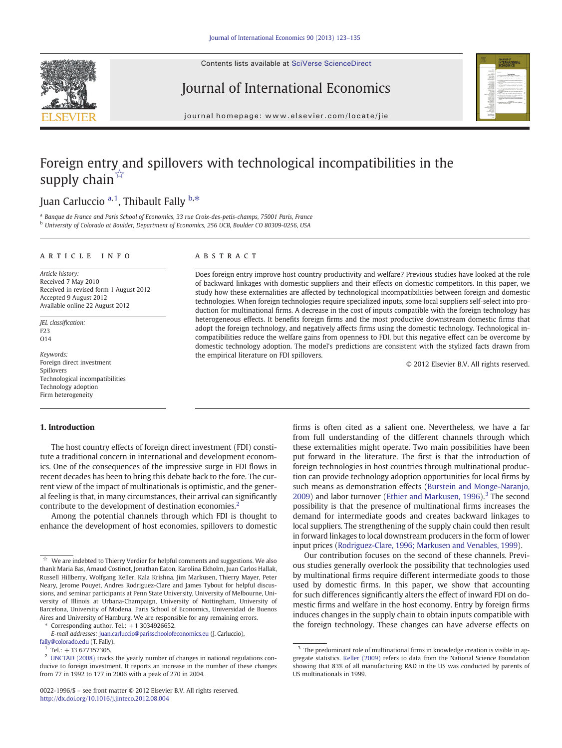Contents lists available at SciVerse ScienceDirect





# Journal of International Economics

journal homepage: www.elsevier.com/locate/jie

# Foreign entry and spillovers with technological incompatibilities in the supply chain $\vec{A}$

# Juan Carluccio <sup>a, 1</sup>, Thibault Fally <sup>b,\*</sup>

<sup>a</sup> Banque de France and Paris School of Economics, 33 rue Croix-des-petis-champs, 75001 Paris, France <sup>b</sup> University of Colorado at Boulder, Department of Economics, 256 UCB, Boulder CO 80309‐0256, USA

#### article info abstract

Article history: Received 7 May 2010 Received in revised form 1 August 2012 Accepted 9 August 2012 Available online 22 August 2012

JEL classification: F23 O14

Keywords: Foreign direct investment Spillovers Technological incompatibilities Technology adoption Firm heterogeneity

## 1. Introduction

The host country effects of foreign direct investment (FDI) constitute a traditional concern in international and development economics. One of the consequences of the impressive surge in FDI flows in recent decades has been to bring this debate back to the fore. The current view of the impact of multinationals is optimistic, and the general feeling is that, in many circumstances, their arrival can significantly contribute to the development of destination economies.<sup>2</sup>

Among the potential channels through which FDI is thought to enhance the development of host economies, spillovers to domestic

Corresponding author. Tel.:  $+1$  3034926652.

[fally@colorado.edu](mailto:fally@colorado.edu) (T. Fally).  $1$  Tel.:  $+33$  677357305.

Does foreign entry improve host country productivity and welfare? Previous studies have looked at the role of backward linkages with domestic suppliers and their effects on domestic competitors. In this paper, we study how these externalities are affected by technological incompatibilities between foreign and domestic technologies. When foreign technologies require specialized inputs, some local suppliers self-select into production for multinational firms. A decrease in the cost of inputs compatible with the foreign technology has heterogeneous effects. It benefits foreign firms and the most productive downstream domestic firms that adopt the foreign technology, and negatively affects firms using the domestic technology. Technological incompatibilities reduce the welfare gains from openness to FDI, but this negative effect can be overcome by domestic technology adoption. The model's predictions are consistent with the stylized facts drawn from the empirical literature on FDI spillovers.

© 2012 Elsevier B.V. All rights reserved.

firms is often cited as a salient one. Nevertheless, we have a far from full understanding of the different channels through which these externalities might operate. Two main possibilities have been put forward in the literature. The first is that the introduction of foreign technologies in host countries through multinational production can provide technology adoption opportunities for local firms by such means as demonstration effects [\(Burstein and Monge-Naranjo,](#page-12-0)  $2009$ ) and labor turnover ([Ethier and Markusen, 1996\)](#page-12-0).<sup>3</sup> The second possibility is that the presence of multinational firms increases the demand for intermediate goods and creates backward linkages to local suppliers. The strengthening of the supply chain could then result in forward linkages to local downstream producers in the form of lower input prices [\(Rodriguez-Clare, 1996; Markusen and Venables, 1999\)](#page-12-0).

Our contribution focuses on the second of these channels. Previous studies generally overlook the possibility that technologies used by multinational firms require different intermediate goods to those used by domestic firms. In this paper, we show that accounting for such differences significantly alters the effect of inward FDI on domestic firms and welfare in the host economy. Entry by foreign firms induces changes in the supply chain to obtain inputs compatible with the foreign technology. These changes can have adverse effects on

 $\overrightarrow{a}$  We are indebted to Thierry Verdier for helpful comments and suggestions. We also thank Maria Bas, Arnaud Costinot, Jonathan Eaton, Karolina Ekholm, Juan Carlos Hallak, Russell Hillberry, Wolfgang Keller, Kala Krishna, Jim Markusen, Thierry Mayer, Peter Neary, Jerome Pouyet, Andres Rodriguez-Clare and James Tybout for helpful discussions, and seminar participants at Penn State University, University of Melbourne, University of Illinois at Urbana-Champaign, University of Nottingham, University of Barcelona, University of Modena, Paris School of Economics, Universidad de Buenos Aires and University of Hamburg. We are responsible for any remaining errors.

E-mail addresses: [juan.carluccio@parisschoolofeconomics.eu](mailto:juan.carluccio@parisschoolofeconomics.eu) (J. Carluccio),

<sup>&</sup>lt;sup>2</sup> [UNCTAD \(2008\)](#page-12-0) tracks the yearly number of changes in national regulations conducive to foreign investment. It reports an increase in the number of these changes from 77 in 1992 to 177 in 2006 with a peak of 270 in 2004.

<sup>0022-1996/\$</sup> – see front matter © 2012 Elsevier B.V. All rights reserved. <http://dx.doi.org/10.1016/j.jinteco.2012.08.004>

 $^3\,$  The predominant role of multinational firms in knowledge creation is visible in aggregate statistics. [Keller \(2009\)](#page-12-0) refers to data from the National Science Foundation showing that 83% of all manufacturing R&D in the US was conducted by parents of US multinationals in 1999.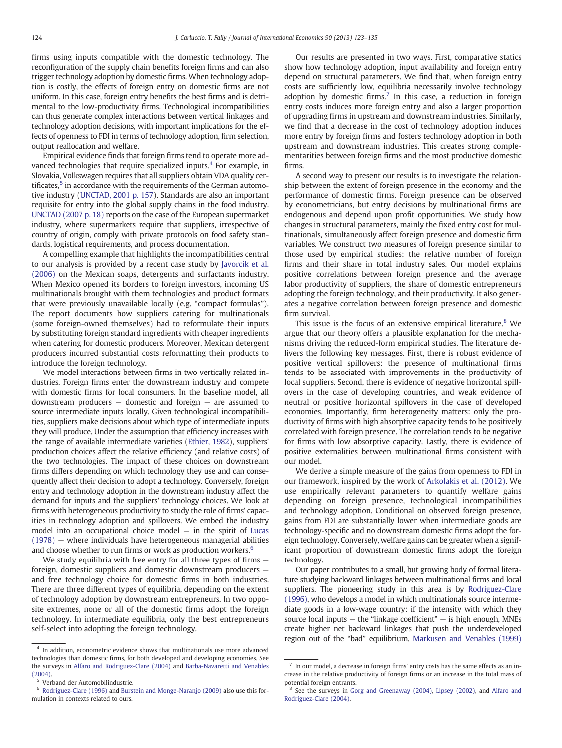firms using inputs compatible with the domestic technology. The reconfiguration of the supply chain benefits foreign firms and can also trigger technology adoption by domestic firms. When technology adoption is costly, the effects of foreign entry on domestic firms are not uniform. In this case, foreign entry benefits the best firms and is detrimental to the low-productivity firms. Technological incompatibilities can thus generate complex interactions between vertical linkages and technology adoption decisions, with important implications for the effects of openness to FDI in terms of technology adoption, firm selection, output reallocation and welfare.

Empirical evidence finds that foreign firms tend to operate more advanced technologies that require specialized inputs.<sup>4</sup> For example, in Slovakia, Volkswagen requires that all suppliers obtain VDA quality certificates,<sup>5</sup> in accordance with the requirements of the German automotive industry [\(UNCTAD, 2001 p. 157\)](#page-12-0). Standards are also an important requisite for entry into the global supply chains in the food industry. [UNCTAD \(2007 p. 18\)](#page-12-0) reports on the case of the European supermarket industry, where supermarkets require that suppliers, irrespective of country of origin, comply with private protocols on food safety standards, logistical requirements, and process documentation.

A compelling example that highlights the incompatibilities central to our analysis is provided by a recent case study by [Javorcik et al.](#page-12-0) [\(2006\)](#page-12-0) on the Mexican soaps, detergents and surfactants industry. When Mexico opened its borders to foreign investors, incoming US multinationals brought with them technologies and product formats that were previously unavailable locally (e.g. "compact formulas"). The report documents how suppliers catering for multinationals (some foreign-owned themselves) had to reformulate their inputs by substituting foreign standard ingredients with cheaper ingredients when catering for domestic producers. Moreover, Mexican detergent producers incurred substantial costs reformatting their products to introduce the foreign technology.

We model interactions between firms in two vertically related industries. Foreign firms enter the downstream industry and compete with domestic firms for local consumers. In the baseline model, all downstream producers — domestic and foreign — are assumed to source intermediate inputs locally. Given technological incompatibilities, suppliers make decisions about which type of intermediate inputs they will produce. Under the assumption that efficiency increases with the range of available intermediate varieties [\(Ethier, 1982\)](#page-12-0), suppliers' production choices affect the relative efficiency (and relative costs) of the two technologies. The impact of these choices on downstream firms differs depending on which technology they use and can consequently affect their decision to adopt a technology. Conversely, foreign entry and technology adoption in the downstream industry affect the demand for inputs and the suppliers' technology choices. We look at firms with heterogeneous productivity to study the role of firms' capacities in technology adoption and spillovers. We embed the industry model into an occupational choice model  $-$  in the spirit of [Lucas](#page-12-0) [\(1978\)](#page-12-0) — where individuals have heterogeneous managerial abilities and choose whether to run firms or work as production workers.<sup>6</sup>

We study equilibria with free entry for all three types of firms  $$ foreign, domestic suppliers and domestic downstream producers and free technology choice for domestic firms in both industries. There are three different types of equilibria, depending on the extent of technology adoption by downstream entrepreneurs. In two opposite extremes, none or all of the domestic firms adopt the foreign technology. In intermediate equilibria, only the best entrepreneurs self-select into adopting the foreign technology.

Our results are presented in two ways. First, comparative statics show how technology adoption, input availability and foreign entry depend on structural parameters. We find that, when foreign entry costs are sufficiently low, equilibria necessarily involve technology adoption by domestic firms.<sup>7</sup> In this case, a reduction in foreign entry costs induces more foreign entry and also a larger proportion of upgrading firms in upstream and downstream industries. Similarly, we find that a decrease in the cost of technology adoption induces more entry by foreign firms and fosters technology adoption in both upstream and downstream industries. This creates strong complementarities between foreign firms and the most productive domestic firms.

A second way to present our results is to investigate the relationship between the extent of foreign presence in the economy and the performance of domestic firms. Foreign presence can be observed by econometricians, but entry decisions by multinational firms are endogenous and depend upon profit opportunities. We study how changes in structural parameters, mainly the fixed entry cost for multinationals, simultaneously affect foreign presence and domestic firm variables. We construct two measures of foreign presence similar to those used by empirical studies: the relative number of foreign firms and their share in total industry sales. Our model explains positive correlations between foreign presence and the average labor productivity of suppliers, the share of domestic entrepreneurs adopting the foreign technology, and their productivity. It also generates a negative correlation between foreign presence and domestic firm survival.

This issue is the focus of an extensive empirical literature.<sup>8</sup> We argue that our theory offers a plausible explanation for the mechanisms driving the reduced-form empirical studies. The literature delivers the following key messages. First, there is robust evidence of positive vertical spillovers: the presence of multinational firms tends to be associated with improvements in the productivity of local suppliers. Second, there is evidence of negative horizontal spillovers in the case of developing countries, and weak evidence of neutral or positive horizontal spillovers in the case of developed economies. Importantly, firm heterogeneity matters: only the productivity of firms with high absorptive capacity tends to be positively correlated with foreign presence. The correlation tends to be negative for firms with low absorptive capacity. Lastly, there is evidence of positive externalities between multinational firms consistent with our model.

We derive a simple measure of the gains from openness to FDI in our framework, inspired by the work of [Arkolakis et al. \(2012\).](#page-12-0) We use empirically relevant parameters to quantify welfare gains depending on foreign presence, technological incompatibilities and technology adoption. Conditional on observed foreign presence, gains from FDI are substantially lower when intermediate goods are technology-specific and no downstream domestic firms adopt the foreign technology. Conversely, welfare gains can be greater when a significant proportion of downstream domestic firms adopt the foreign technology.

Our paper contributes to a small, but growing body of formal literature studying backward linkages between multinational firms and local suppliers. The pioneering study in this area is by [Rodriguez-Clare](#page-12-0) [\(1996\)](#page-12-0), who develops a model in which multinationals source intermediate goods in a low-wage country: if the intensity with which they source local inputs — the "linkage coefficient" — is high enough, MNEs create higher net backward linkages that push the underdeveloped region out of the "bad" equilibrium. [Markusen and Venables \(1999\)](#page-12-0)

<sup>4</sup> In addition, econometric evidence shows that multinationals use more advanced technologies than domestic firms, for both developed and developing economies. See the surveys in [Alfaro and Rodriguez-Clare \(2004\)](#page-12-0) and [Barba-Navaretti and Venables](#page-12-0) [\(2004\)](#page-12-0).

<sup>5</sup> Verband der Automobilindustrie.

<sup>6</sup> [Rodriguez-Clare \(1996\)](#page-12-0) and [Burstein and Monge-Naranjo \(2009\)](#page-12-0) also use this formulation in contexts related to ours.

 $<sup>7</sup>$  In our model, a decrease in foreign firms' entry costs has the same effects as an in-</sup> crease in the relative productivity of foreign firms or an increase in the total mass of potential foreign entrants.

<sup>&</sup>lt;sup>8</sup> See the surveys in [Gorg and Greenaway \(2004\)](#page-12-0), [Lipsey \(2002\),](#page-12-0) and [Alfaro and](#page-12-0) [Rodriguez-Clare \(2004\).](#page-12-0)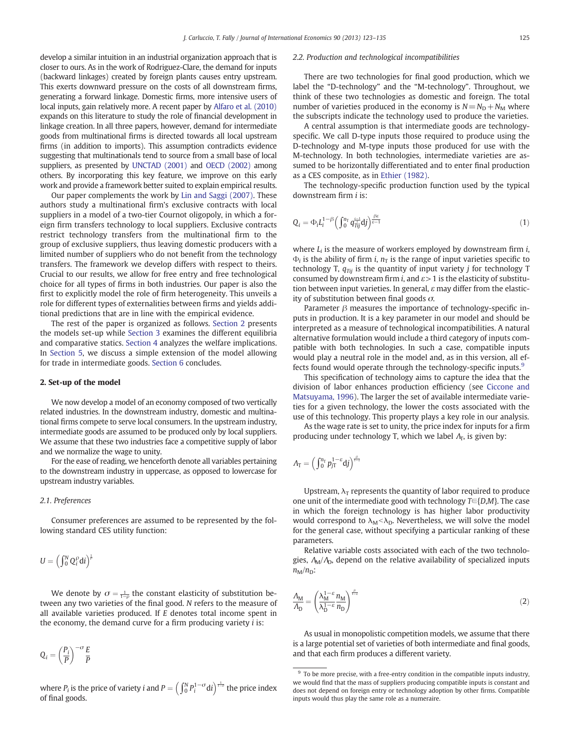<span id="page-2-0"></span>develop a similar intuition in an industrial organization approach that is closer to ours. As in the work of Rodriguez-Clare, the demand for inputs (backward linkages) created by foreign plants causes entry upstream. This exerts downward pressure on the costs of all downstream firms, generating a forward linkage. Domestic firms, more intensive users of local inputs, gain relatively more. A recent paper by [Alfaro et al. \(2010\)](#page-12-0) expands on this literature to study the role of financial development in linkage creation. In all three papers, however, demand for intermediate goods from multinational firms is directed towards all local upstream firms (in addition to imports). This assumption contradicts evidence suggesting that multinationals tend to source from a small base of local suppliers, as presented by [UNCTAD \(2001\)](#page-12-0) and [OECD \(2002\)](#page-12-0) among others. By incorporating this key feature, we improve on this early work and provide a framework better suited to explain empirical results.

Our paper complements the work by [Lin and Saggi \(2007\)](#page-12-0). These authors study a multinational firm's exclusive contracts with local suppliers in a model of a two-tier Cournot oligopoly, in which a foreign firm transfers technology to local suppliers. Exclusive contracts restrict technology transfers from the multinational firm to the group of exclusive suppliers, thus leaving domestic producers with a limited number of suppliers who do not benefit from the technology transfers. The framework we develop differs with respect to theirs. Crucial to our results, we allow for free entry and free technological choice for all types of firms in both industries. Our paper is also the first to explicitly model the role of firm heterogeneity. This unveils a role for different types of externalities between firms and yields additional predictions that are in line with the empirical evidence.

The rest of the paper is organized as follows. Section 2 presents the models set-up while [Section 3](#page-3-0) examines the different equilibria and comparative statics. [Section 4](#page-8-0) analyzes the welfare implications. In [Section 5,](#page-9-0) we discuss a simple extension of the model allowing for trade in intermediate goods. [Section 6](#page-9-0) concludes.

## 2. Set-up of the model

We now develop a model of an economy composed of two vertically related industries. In the downstream industry, domestic and multinational firms compete to serve local consumers. In the upstream industry, intermediate goods are assumed to be produced only by local suppliers. We assume that these two industries face a competitive supply of labor and we normalize the wage to unity.

For the ease of reading, we henceforth denote all variables pertaining to the downstream industry in uppercase, as opposed to lowercase for upstream industry variables.

# 2.1. Preferences

Consumer preferences are assumed to be represented by the following standard CES utility function:

$$
U=\left(\int_0^N Q_i^{\rho} \mathrm{d} i\right)^{\frac{1}{\rho}}
$$

We denote by  $\sigma = \frac{1}{1-\rho}$  the constant elasticity of substitution between any two varieties of the final good. N refers to the measure of all available varieties produced. If E denotes total income spent in the economy, the demand curve for a firm producing variety  $i$  is:

$$
Q_i = \left(\frac{P_i}{P}\right)^{-\sigma} \frac{E}{P}
$$

where  $P_i$  is the price of variety i and  $P = \left(\int_0^N P_i^{1-\sigma} \mathrm{d}i\right)^{\frac{1}{1-\sigma}}$  the price index of final goods.

#### 2.2. Production and technological incompatibilities

There are two technologies for final good production, which we label the "D-technology" and the "M-technology". Throughout, we think of these two technologies as domestic and foreign. The total number of varieties produced in the economy is  $N = N_D + N_M$  where the subscripts indicate the technology used to produce the varieties.

A central assumption is that intermediate goods are technologyspecific. We call D-type inputs those required to produce using the D-technology and M-type inputs those produced for use with the M-technology. In both technologies, intermediate varieties are assumed to be horizontally differentiated and to enter final production as a CES composite, as in [Ethier \(1982\)](#page-12-0).

The technology-specific production function used by the typical downstream firm i is:

$$
Q_i = \Phi_i L_i^{1-\beta} \left( \int_0^{n_{\rm T}} q_{\tilde{t}ij}^{\frac{\epsilon-1}{\epsilon}} \mathrm{d}j \right)^{\frac{\beta c}{\epsilon-1}} \tag{1}
$$

where  $L_i$  is the measure of workers employed by downstream firm *i*,  $\Phi_i$  is the ability of firm i,  $n<sub>T</sub>$  is the range of input varieties specific to technology T,  $q_{Ti}$  is the quantity of input variety *j* for technology T consumed by downstream firm i, and  $\varepsilon > 1$  is the elasticity of substitution between input varieties. In general,  $\varepsilon$  may differ from the elasticity of substitution between final goods  $\sigma$ .

Parameter  $\beta$  measures the importance of technology-specific inputs in production. It is a key parameter in our model and should be interpreted as a measure of technological incompatibilities. A natural alternative formulation would include a third category of inputs compatible with both technologies. In such a case, compatible inputs would play a neutral role in the model and, as in this version, all effects found would operate through the technology-specific inputs.<sup>9</sup>

This specification of technology aims to capture the idea that the division of labor enhances production efficiency (see [Ciccone and](#page-12-0) [Matsuyama, 1996\)](#page-12-0). The larger the set of available intermediate varieties for a given technology, the lower the costs associated with the use of this technology. This property plays a key role in our analysis.

As the wage rate is set to unity, the price index for inputs for a firm producing under technology T, which we label  $\Lambda_{\Gamma}$ , is given by:

$$
\boldsymbol{\Lambda}_{T}=\left(\int_{0}^{\eta_{T}}p_{jT}^{1-\varepsilon}dj\right)^{\frac{\beta}{1-\varepsilon}}
$$

Upstream,  $\lambda_T$  represents the quantity of labor required to produce one unit of the intermediate good with technology  $T \in \{D,M\}$ . The case in which the foreign technology is has higher labor productivity would correspond to  $\lambda_M < \lambda_D$ . Nevertheless, we will solve the model for the general case, without specifying a particular ranking of these parameters.

Relative variable costs associated with each of the two technologies,  $\Lambda_{\rm M}/\Lambda_{\rm D}$ , depend on the relative availability of specialized inputs  $n_M/n_D$ :

$$
\frac{\Lambda_{\rm M}}{\Lambda_{\rm D}} = \left(\frac{\lambda_{\rm M}^{1-\varepsilon} n_{\rm M}}{\lambda_{\rm D}^{1-\varepsilon} n_{\rm D}}\right)^{\frac{\beta}{1-\varepsilon}}\tag{2}
$$

As usual in monopolistic competition models, we assume that there is a large potential set of varieties of both intermediate and final goods, and that each firm produces a different variety.

 $9\,$  To be more precise, with a free-entry condition in the compatible inputs industry, we would find that the mass of suppliers producing compatible inputs is constant and does not depend on foreign entry or technology adoption by other firms. Compatible inputs would thus play the same role as a numeraire.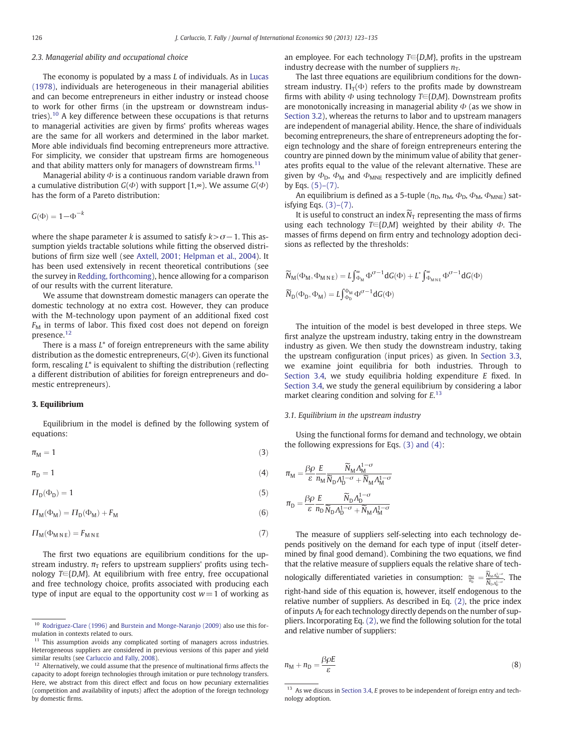# <span id="page-3-0"></span>2.3. Managerial ability and occupational choice

The economy is populated by a mass L of individuals. As in [Lucas](#page-12-0) [\(1978\),](#page-12-0) individuals are heterogeneous in their managerial abilities and can become entrepreneurs in either industry or instead choose to work for other firms (in the upstream or downstream industries).<sup>10</sup> A key difference between these occupations is that returns to managerial activities are given by firms' profits whereas wages are the same for all workers and determined in the labor market. More able individuals find becoming entrepreneurs more attractive. For simplicity, we consider that upstream firms are homogeneous and that ability matters only for managers of downstream firms.<sup>11</sup>

Managerial ability  $\Phi$  is a continuous random variable drawn from a cumulative distribution  $G(\Phi)$  with support  $[1, \infty)$ . We assume  $G(\Phi)$ has the form of a Pareto distribution:

$$
G(\Phi) = 1 - \Phi^{-k}
$$

where the shape parameter k is assumed to satisfy  $k > \sigma-1$ . This assumption yields tractable solutions while fitting the observed distributions of firm size well (see [Axtell, 2001; Helpman et al., 2004](#page-12-0)). It has been used extensively in recent theoretical contributions (see the survey in [Redding, forthcoming\)](#page-12-0), hence allowing for a comparison of our results with the current literature.

We assume that downstream domestic managers can operate the domestic technology at no extra cost. However, they can produce with the M-technology upon payment of an additional fixed cost  $F<sub>M</sub>$  in terms of labor. This fixed cost does not depend on foreign presence.<sup>12</sup>

There is a mass  $L^*$  of foreign entrepreneurs with the same ability distribution as the domestic entrepreneurs,  $G(\Phi)$ . Given its functional form, rescaling  $L^*$  is equivalent to shifting the distribution (reflecting a different distribution of abilities for foreign entrepreneurs and domestic entrepreneurs).

# 3. Equilibrium

Equilibrium in the model is defined by the following system of equations:

$$
\pi_{\mathcal{M}} = 1 \tag{3}
$$

$$
\pi_{\mathcal{D}} = 1 \tag{4}
$$

$$
\Pi_{\mathcal{D}}(\Phi_{\mathcal{D}}) = 1\tag{5}
$$

$$
\Pi_{\mathbf{M}}(\Phi_{\mathbf{M}}) = \Pi_{\mathbf{D}}(\Phi_{\mathbf{M}}) + F_{\mathbf{M}} \tag{6}
$$

$$
\Pi_{\mathbf{M}}(\Phi_{\mathbf{M}\,\mathbf{N}\,\mathbf{E}}) = F_{\mathbf{M}\,\mathbf{N}\,\mathbf{E}} \tag{7}
$$

The first two equations are equilibrium conditions for the upstream industry.  $\pi$ <sub>T</sub> refers to upstream suppliers' profits using technology  $T \in \{D,M\}$ . At equilibrium with free entry, free occupational and free technology choice, profits associated with producing each type of input are equal to the opportunity cost  $w=1$  of working as an employee. For each technology  $T \in \{D,M\}$ , profits in the upstream industry decrease with the number of suppliers  $n<sub>T</sub>$ .

The last three equations are equilibrium conditions for the downstream industry.  $\Pi_T(\Phi)$  refers to the profits made by downstream firms with ability  $\Phi$  using technology  $T \in \{D,M\}$ . Downstream profits are monotonically increasing in managerial ability  $\Phi$  (as we show in [Section 3.2](#page-4-0)), whereas the returns to labor and to upstream managers are independent of managerial ability. Hence, the share of individuals becoming entrepreneurs, the share of entrepreneurs adopting the foreign technology and the share of foreign entrepreneurs entering the country are pinned down by the minimum value of ability that generates profits equal to the value of the relevant alternative. These are given by  $\Phi_{\text{D}}$ ,  $\Phi_{\text{M}}$  and  $\Phi_{\text{MNE}}$  respectively and are implicitly defined by Eqs.  $(5)-(7)$ .

An equilibrium is defined as a 5-tuple ( $n_D$ ,  $n_M$ ,  $\Phi_D$ ,  $\Phi_M$ ,  $\Phi_{\text{MNE}}$ ) satisfying Eqs.  $(3)-(7)$ .

Ing Eqs. (5)–(7).<br>It is useful to construct an index  $\widetilde{N}_T$  representing the mass of firms using each technology  $T \in \{D,M\}$  weighted by their ability  $\Phi$ . The masses of firms depend on firm entry and technology adoption decisions as reflected by the thresholds:

$$
\begin{aligned} &\widetilde{N}_M(\Phi_M,\Phi_{M\,N\,E})=L\!\int_{\Phi_M}^\infty\Phi^{\sigma-1}dG(\Phi)+L^*\!\int_{\Phi_{M\,N\,E}}^\infty\Phi^{\sigma-1}dG(\Phi)\\ &\widetilde{N}_D(\Phi_D,\Phi_M)=L\!\int_{\Phi_D}^{\Phi_M}\Phi^{\sigma-1}dG(\Phi) \end{aligned}
$$

The intuition of the model is best developed in three steps. We first analyze the upstream industry, taking entry in the downstream industry as given. We then study the downstream industry, taking the upstream configuration (input prices) as given. In [Section 3.3,](#page-5-0) we examine joint equilibria for both industries. Through to [Section 3.4,](#page-8-0) we study equilibria holding expenditure E fixed. In [Section 3.4,](#page-8-0) we study the general equilibrium by considering a labor market clearing condition and solving for  $E<sup>13</sup>$ 

## 3.1. Equilibrium in the upstream industry

Using the functional forms for demand and technology, we obtain the following expressions for Eqs. (3) and (4):

$$
\begin{aligned} \pi_\mathrm{M} &= \frac{\beta \rho}{\varepsilon} \frac{E}{n_\mathrm{M}} \frac{\widetilde{N}_\mathrm{M} \Lambda_\mathrm{M}^{1-\sigma}}{\widetilde{N}_\mathrm{D} \Lambda_\mathrm{D}^{1-\sigma} + \widetilde{N}_\mathrm{M} \Lambda_\mathrm{M}^{1-\sigma}} \\ \pi_\mathrm{D} &= \frac{\beta \rho}{\varepsilon} \frac{E}{n_\mathrm{D}} \frac{\widetilde{N}_\mathrm{D} \Lambda_\mathrm{D}^{1-\sigma}}{\widetilde{N}_\mathrm{D} \Lambda_\mathrm{D}^{1-\sigma} + \widetilde{N}_\mathrm{M} \Lambda_\mathrm{M}^{1-\sigma}} \end{aligned}
$$

The measure of suppliers self-selecting into each technology depends positively on the demand for each type of input (itself determined by final good demand). Combining the two equations, we find that the relative measure of suppliers equals the relative share of technologically differentiated varieties in consumption:  $\frac{n_M}{n_D} = \frac{\widetilde{N}_M \Lambda_M^{1-\sigma}}{\widetilde{N}_D \Lambda_D^{1-\sigma}}$ . The right-hand side of this equation is, however, itself endogenous to the relative number of suppliers. As described in Eq. [\(2\),](#page-2-0) the price index of inputs  $\Lambda$ <sub>T</sub> for each technology directly depends on the number of suppliers. Incorporating Eq. [\(2\)](#page-2-0), we find the following solution for the total and relative number of suppliers:

$$
n_{\rm M} + n_{\rm D} = \frac{\beta \rho E}{\varepsilon} \tag{8}
$$

<sup>10</sup> [Rodriguez-Clare \(1996\)](#page-12-0) and [Burstein and Monge-Naranjo \(2009\)](#page-12-0) also use this formulation in contexts related to ours.

 $11$  This assumption avoids any complicated sorting of managers across industries. Heterogeneous suppliers are considered in previous versions of this paper and yield similar results (see [Carluccio and Fally, 2008](#page-12-0)).

 $12$  Alternatively, we could assume that the presence of multinational firms affects the capacity to adopt foreign technologies through imitation or pure technology transfers. Here, we abstract from this direct effect and focus on how pecuniary externalities (competition and availability of inputs) affect the adoption of the foreign technology by domestic firms.

<sup>&</sup>lt;sup>13</sup> As we discuss in [Section 3.4,](#page-8-0) E proves to be independent of foreign entry and technology adoption.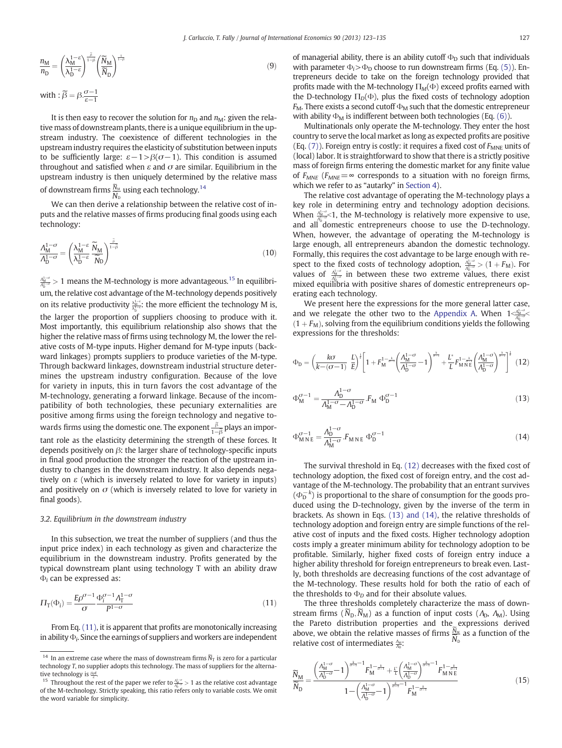<span id="page-4-0"></span>
$$
\frac{n_{\rm M}}{n_{\rm D}} = \left(\frac{\lambda_{\rm M}^{1-\varepsilon}}{\lambda_{\rm D}^{1-\varepsilon}}\right)^{\frac{\tilde{\beta}}{1-\tilde{\beta}}} \left(\frac{\widetilde{N}_{\rm M}}{\widetilde{N}_{\rm D}}\right)^{\frac{1}{1-\tilde{\beta}}} \tag{9}
$$
  
with:  $\tilde{\beta} = \beta \cdot \frac{\sigma - 1}{\varepsilon - 1}$ 

ε−1

It is then easy to recover the solution for  $n<sub>D</sub>$  and  $n<sub>M</sub>$ : given the relative mass of downstream plants, there is a unique equilibrium in the upstream industry. The coexistence of different technologies in the upstream industry requires the elasticity of substitution between inputs to be sufficiently large:  $\varepsilon - 1 > \beta(\sigma - 1)$ . This condition is assumed throughout and satisfied when  $\varepsilon$  and  $\sigma$  are similar. Equilibrium in the upstream industry is then uniquely determined by the relative mass of downstream firms  $\frac{\widetilde{N}_M}{\widetilde{N}_D}$  using each technology.<sup>14</sup>

We can then derive a relationship between the relative cost of inputs and the relative masses of firms producing final goods using each technology:

$$
\frac{\Lambda_{\rm M}^{1-\sigma}}{\Lambda_{\rm D}^{1-\sigma}} = \left(\frac{\lambda_{\rm M}^{1-\varepsilon}}{\lambda_{\rm D}^{1-\varepsilon}} \frac{\widetilde{N}_{\rm M}}{\widetilde{N}_{\rm D}}\right)^{\frac{\widetilde{n}}{1-\widetilde{\beta}}} \tag{10}
$$

 $\frac{A_{\bf M}^{1-\sigma}}{A_{\bf D}^{1-\sigma}}$  > 1 means the M-technology is more advantageous.<sup>15</sup> In equilibrium, the relative cost advantage of the M-technology depends positively on its relative productivity  $\frac{\lambda_{\rm M}^{1-\epsilon}}{\lambda_{\rm M}^{1-\epsilon}}$ : the more efficient the technology M is, the larger the proportion of suppliers choosing to produce with it. Most importantly, this equilibrium relationship also shows that the higher the relative mass of firms using technology M, the lower the relative costs of M-type inputs. Higher demand for M-type inputs (backward linkages) prompts suppliers to produce varieties of the M-type. Through backward linkages, downstream industrial structure determines the upstream industry configuration. Because of the love for variety in inputs, this in turn favors the cost advantage of the M-technology, generating a forward linkage. Because of the incompatibility of both technologies, these pecuniary externalities are positive among firms using the foreign technology and negative towards firms using the domestic one. The exponent  $\frac{\tilde{\beta}}{1-\tilde{\beta}}$  plays an important role as the elasticity determining the strength of these forces. It depends positively on  $\beta$ : the larger share of technology-specific inputs in final good production the stronger the reaction of the upstream industry to changes in the downstream industry. It also depends negatively on  $\varepsilon$  (which is inversely related to love for variety in inputs) and positively on  $\sigma$  (which is inversely related to love for variety in

# 3.2. Equilibrium in the downstream industry

final goods).

In this subsection, we treat the number of suppliers (and thus the input price index) in each technology as given and characterize the equilibrium in the downstream industry. Profits generated by the typical downstream plant using technology T with an ability draw  $\Phi_i$  can be expressed as:

$$
\Pi_{\mathcal{T}}(\Phi_i) = \frac{E\rho^{\sigma-1}}{\sigma} \frac{\Phi_i^{\sigma-1} \Lambda_{\mathcal{T}}^{1-\sigma}}{P^{1-\sigma}}
$$
\n(11)

From Eq. (11), it is apparent that profits are monotonically increasing in ability  $\Phi_i$ . Since the earnings of suppliers and workers are independent of managerial ability, there is an ability cutoff  $\Phi_D$  such that individuals with parameter  $\Phi_i > \Phi_D$  choose to run downstream firms (Eq. [\(5\)\)](#page-3-0). Entrepreneurs decide to take on the foreign technology provided that profits made with the M-technology  $\Pi_M(\Phi)$  exceed profits earned with the D-technology  $\Pi_D(\Phi)$ , plus the fixed costs of technology adoption  $F_M$ . There exists a second cutoff  $\Phi_M$  such that the domestic entrepreneur with ability  $\Phi_M$  is indifferent between both technologies (Eq. [\(6\)\)](#page-3-0).

Multinationals only operate the M-technology. They enter the host country to serve the local market as long as expected profits are positive (Eq.  $(7)$ ). Foreign entry is costly: it requires a fixed cost of  $F_{\text{MNE}}$  units of (local) labor. It is straightforward to show that there is a strictly positive mass of foreign firms entering the domestic market for any finite value of  $F_{MNE}$  ( $F_{MNE} = \infty$  corresponds to a situation with no foreign firms, which we refer to as "autarky" in [Section 4\)](#page-8-0).

The relative cost advantage of operating the M-technology plays a key role in determining entry and technology adoption decisions. When  $\frac{A_{\rm M}^{1-\sigma}}{A_{\rm D}^{1-\sigma}}$ <1, the M-technology is relatively more expensive to use, and all domestic entrepreneurs choose to use the D-technology. When, however, the advantage of operating the M-technology is large enough, all entrepreneurs abandon the domestic technology. Formally, this requires the cost advantage to be large enough with respect to the fixed costs of technology adoption,  $\frac{\Lambda_{\rm M}^{1-\sigma}}{\Lambda_{\rm D}^{1-\sigma}}$  > (1 +  $F_{\rm M}$ ). For values of  $\frac{A_{\rm M}^{1-\sigma}}{A_{\rm D}^{1-\sigma}}$  in between these two extreme values, there exist mixed equilibria with positive shares of domestic entrepreneurs operating each technology.

We present here the expressions for the more general latter case, and we relegate the other two to the [Appendix A](#page-10-0). When  $1<\frac{A_{\rm M}^{1-\sigma}}{A_{\rm D}^{1-\sigma}}$  $(1 + F_M)$ , solving from the equilibrium conditions yields the following expressions for the thresholds:

$$
\Phi_{\rm D} = \left(\frac{k\sigma}{k - (\sigma - 1)} \frac{L}{E}\right)^{\frac{1}{k}} \left[1 + F_{\rm M}^{1 - \frac{s}{\sigma - 1}} \left(\frac{\Lambda_{\rm M}^{1 - \sigma}}{\Lambda_{\rm D}^{1 - \sigma}} - 1\right)^{\frac{s}{\sigma - 1}} + \frac{L^*}{L} F_{\rm MNE}^{1 - \frac{s}{\sigma - 1}} \left(\frac{\Lambda_{\rm M}^{1 - \sigma}}{\Lambda_{\rm D}^{1 - \sigma}}\right)^{\frac{s}{\sigma - 1}}\right]^{\frac{1}{k}} (12)
$$

$$
\Phi_{\rm M}^{\sigma - 1} = \frac{\Lambda_{\rm D}^{1 - \sigma}}{\Lambda_{\rm M}^{1 - \sigma} - \Lambda_{\rm D}^{1 - \sigma}} F_{\rm M} \Phi_{\rm D}^{\sigma - 1}
$$
\n(13)

$$
\Phi_{\text{MNE}}^{\sigma-1} = \frac{\Lambda_{\text{D}}^{1-\sigma}}{\Lambda_{\text{M}}^{1-\sigma}} F_{\text{MNE}} \Phi_{\text{D}}^{\sigma-1}
$$
(14)

The survival threshold in Eq. (12) decreases with the fixed cost of technology adoption, the fixed cost of foreign entry, and the cost advantage of the M-technology. The probability that an entrant survives  $(\Phi_{D}^{-k})$  is proportional to the share of consumption for the goods produced using the D-technology, given by the inverse of the term in brackets. As shown in Eqs. (13) and (14), the relative thresholds of technology adoption and foreign entry are simple functions of the relative cost of inputs and the fixed costs. Higher technology adoption costs imply a greater minimum ability for technology adoption to be profitable. Similarly, higher fixed costs of foreign entry induce a higher ability threshold for foreign entrepreneurs to break even. Lastly, both thresholds are decreasing functions of the cost advantage of the M-technology. These results hold for both the ratio of each of the thresholds to  $\Phi_D$  and for their absolute values.

The three thresholds completely characterize the mass of downstream firms ( $\widetilde{N}_{D}, \widetilde{N}_{M}$ ) as a function of input costs ( $\Lambda_{D}, \Lambda_{M}$ ). Using the Pareto distribution properties and the expressions derived<br>above, we obtain the relative masses of firms  $\frac{\widetilde{N}_M}{\widetilde{N}_D}$  as a function of the<br>relative cost of intermediates  $\Lambda_M$ . relative cost of intermediates  $\frac{A_M}{A_D}$ :

$$
\frac{\widetilde{N}_{M}}{\widetilde{N}_{D}} = \frac{\left(\frac{A_{M}^{1-\sigma}}{A_{D}^{1-\sigma}}-1\right)^{\frac{k}{\sigma-1}-1} F_{M}^{1-\frac{k}{\sigma-1}} + \frac{\mu}{L} \left(\frac{A_{M}^{1-\sigma}}{A_{D}^{1-\sigma}}\right)^{\frac{k}{\sigma-1}-1} F_{M}^{1-\frac{k}{\sigma-1}}}{1 - \left(\frac{A_{M}^{1-\sigma}}{A_{D}^{1-\sigma}}-1\right)^{\frac{k}{\sigma-1}-1} F_{M}^{1-\frac{k}{\sigma-1}}}
$$
\n(15)

<sup>&</sup>lt;sup>14</sup> In an extreme case where the mass of downstream firms  $\widetilde{N}_T$  is zero for a particular technology T, no supplier adopts this technology. The mass of suppliers for the alternative technology is *βρΕ* 

ive technology is  $\frac{\rho_E E}{\varepsilon}$ .<br><sup>15</sup> Throughout the rest of the paper we refer to  $\frac{\Lambda^{1-\sigma}_0}{\Lambda^{1-\sigma}_0}>1$  as the relative cost advantage of the M-technology. Strictly speaking, this ratio refers only to variable costs. We omit the word variable for simplicity.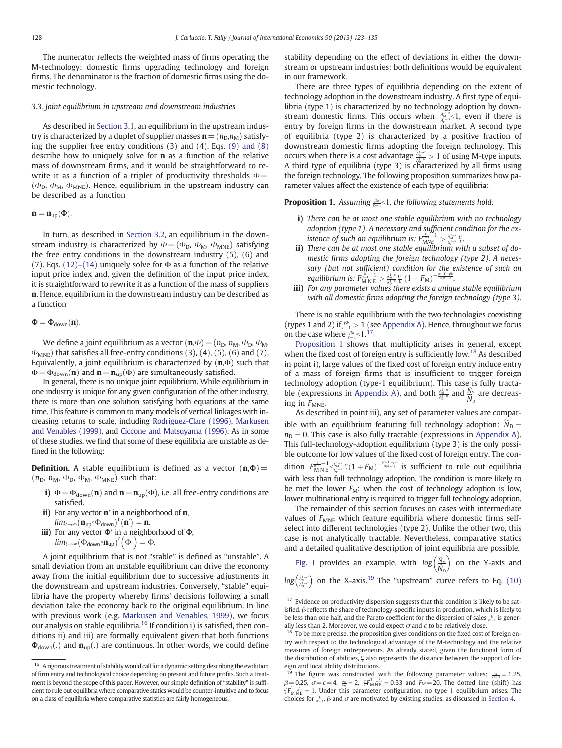<span id="page-5-0"></span>The numerator reflects the weighted mass of firms operating the M-technology: domestic firms upgrading technology and foreign firms. The denominator is the fraction of domestic firms using the domestic technology.

### 3.3. Joint equilibrium in upstream and downstream industries

As described in [Section 3.1](#page-3-0), an equilibrium in the upstream industry is characterized by a duplet of supplier masses  $\mathbf{n}=(n_\text{D},n_\text{M})$  satisfying the supplier free entry conditions (3) and (4). Eqs. [\(9\) and \(8\)](#page-4-0) describe how to uniquely solve for  $\bf{n}$  as a function of the relative mass of downstream firms, and it would be straightforward to rewrite it as a function of a triplet of productivity thresholds  $\Phi$  =  $(\Phi_{\text{D}}, \Phi_{\text{M}}, \Phi_{\text{MNE}})$ . Hence, equilibrium in the upstream industry can be described as a function

$$
\mathbf{n}=\mathbf{n}_{\text{up}}(\mathbf{\Phi}).
$$

In turn, as described in [Section 3.2](#page-4-0), an equilibrium in the downstream industry is characterized by  $\Phi = (\Phi_D, \Phi_M, \Phi_{MNE})$  satisfying the free entry conditions in the downstream industry (5), (6) and (7). Eqs. (12)–[\(14\)](#page-4-0) uniquely solve for  $\Phi$  as a function of the relative input price index and, given the definition of the input price index, it is straightforward to rewrite it as a function of the mass of suppliers n. Hence, equilibrium in the downstream industry can be described as a function

# $\Phi = \Phi_{\text{down}}(\mathbf{n}).$

We define a joint equilibrium as a vector  $(\mathbf{n}, \Phi) = (n_D, n_M, \Phi_D, \Phi_M, \Phi_M)$  $\Phi_{\text{MNE}}$ ) that satisfies all free-entry conditions (3), (4), (5), (6) and (7). Equivalently, a joint equilibrium is characterized by  $(n, \Phi)$  such that  $\Phi = \Phi_{\text{down}}(\mathbf{n})$  and  $\mathbf{n} = \mathbf{n}_{\text{up}}(\Phi)$  are simultaneously satisfied.

In general, there is no unique joint equilibrium. While equilibrium in one industry is unique for any given configuration of the other industry, there is more than one solution satisfying both equations at the same time. This feature is common to many models of vertical linkages with increasing returns to scale, including [Rodriguez-Clare \(1996\),](#page-12-0) [Markusen](#page-12-0) [and Venables \(1999\),](#page-12-0) and [Ciccone and Matsuyama \(1996\).](#page-12-0) As in some of these studies, we find that some of these equilibria are unstable as defined in the following:

**Definition.** A stable equilibrium is defined as a vector  $(n, \Phi)$  =  $(n_D, n_M, \Phi_D, \Phi_M, \Phi_{MNE})$  such that:

- i)  $\Phi = \Phi_{\text{down}}(\mathbf{n})$  and  $\mathbf{n} = \mathbf{n}_{\text{up}}(\Phi)$ , i.e. all free-entry conditions are satisfied.
- ii) For any vector  $\mathbf{n}'$  in a neighborhood of  $\mathbf{n}$ ,
- lim<sub>t→∞</sub> ( $\mathbf{n}_{up} \circ \Phi_{down}$ )<sup>*t*</sup> ( $\mathbf{n}'$ ) = **n**.<br> **iii**) For any vector  $\Phi'$  in a neighborhood of  $\Phi$ ,<br>  $\lim_{t \to \infty} (\Phi_{down} \circ \mathbf{n}_{up})^t (\Phi') = \Phi$ .

A joint equilibrium that is not "stable" is defined as "unstable". A small deviation from an unstable equilibrium can drive the economy away from the initial equilibrium due to successive adjustments in the downstream and upstream industries. Conversely, "stable" equilibria have the property whereby firms' decisions following a small deviation take the economy back to the original equilibrium. In line with previous work (e.g. [Markusen and Venables, 1999\)](#page-12-0), we focus our analysis on stable equilibria.<sup>16</sup> If condition i) is satisfied, then conditions ii) and iii) are formally equivalent given that both functions  $\Phi_{\text{down}}(.)$  and  $n_{\text{up}}(.)$  are continuous. In other words, we could define stability depending on the effect of deviations in either the downstream or upstream industries: both definitions would be equivalent in our framework.

There are three types of equilibria depending on the extent of technology adoption in the downstream industry. A first type of equilibria (type 1) is characterized by no technology adoption by downstream domestic firms. This occurs when  $\frac{A_{\rm M}^{1-\sigma}}{A_{\rm D}^{1-\sigma}}$  (1, even if there is entry by foreign firms in the downstream market. A second type of equilibria (type 2) is characterized by a positive fraction of downstream domestic firms adopting the foreign technology. This occurs when there is a cost advantage  $\frac{A_{\rm M}^{1-\sigma}}{A_{\rm D}^{1-\sigma}}$  > 1 of using M-type inputs. A third type of equilibria (type 3) is characterized by all firms using the foreign technology. The following proposition summarizes how parameter values affect the existence of each type of equilibria:

**Proposition 1.** Assuming  $\frac{\beta k}{\varepsilon-1}$ <1, the following statements hold:

- i) There can be at most one stable equilibrium with no technology adoption (type 1). A necessary and sufficient condition for the existence of such an equilibrium is:  $F_{MNE}^{\frac{k}{G-1}-1} > \frac{\lambda_{M}^{1-E}}{\lambda_{D}^{1-E}} \frac{L}{L}$
- ii) There can be at most one stable equilibrium with a subset of domestic firms adopting the foreign technology (type 2). A necessary (but not sufficient) condition for the existence of such an equilibrium is:  $F_{\text{MNE}}^{\frac{k}{\sigma-1}-1} > \frac{\lambda_{\text{M}}^{\text{1}-\varepsilon}}{\lambda_{\text{D}}^{\text{1}-\varepsilon}} \frac{L^*}{L} (1 + F_{\text{M}})^{-\frac{(\varepsilon-1)-\frac{\rho k}{\beta(\sigma-1)}}{2\beta(\sigma-1)}}$
- iii) For any parameter values there exists a unique stable equilibrium with all domestic firms adopting the foreign technology (type 3).

There is no stable equilibrium with the two technologies coexisting (types 1 and 2) if  $\frac{\beta k}{\epsilon-1} > 1$  (see [Appendix A\)](#page-10-0). Hence, throughout we focus on the case where  $\frac{\beta k}{\varepsilon - 1}$  < 1.<sup>17</sup>

Proposition 1 shows that multiplicity arises in general, except when the fixed cost of foreign entry is sufficiently low.<sup>18</sup> As described in point i), large values of the fixed cost of foreign entry induce entry of a mass of foreign firms that is insufficient to trigger foreign technology adoption (type-1 equilibrium). This case is fully tracta-ble (expressions in [Appendix A](#page-10-0)), and both  $\frac{A_1^{1-\sigma}}{A_0^{1-\sigma}}$  and  $\frac{\widetilde{N}_M}{\widetilde{N}_D}$  are decreasing in E<sub>ne</sub> ing in  $F_{\mathsf{MNE}}.$ 

As described in point iii), any set of parameter values are compatible with an equilibrium featuring full technology adoption:  $\widetilde{N}_{\text{D}}$  $n_D = 0$ . This case is also fully tractable (expressions in [Appendix A](#page-10-0)). This full-technology-adoption equilibrium (type 3) is the only possible outcome for low values of the fixed cost of foreign entry. The condition  $F_{\overline{M}N E}^{\frac{k}{\sigma-1}-1} < \frac{\lambda_M^{1-\epsilon}}{\lambda_0^{1-\epsilon}} L(1 + F_M)^{-\frac{(e-1)-\beta k}{\beta(\sigma-1)}}$  is sufficient to rule out equilibria with less than full technology adoption. The condition is more likely to be met the lower  $F_M$ : when the cost of technology adoption is low, lower multinational entry is required to trigger full technology adoption.

The remainder of this section focuses on cases with intermediate values of  $F_{\text{MNE}}$  which feature equilibria where domestic firms selfselect into different technologies (type 2). Unlike the other two, this case is not analytically tractable. Nevertheless, comparative statics and a detailed qualitative description of joint equilibria are possible.

[Fig. 1](#page-6-0) provides an example, with  $log\left(\frac{\widetilde{N}_{\rm M}}{\widetilde{N}_{\rm D}}\right)$  on the Y-axis and

 $log(\frac{A_{\rm M}^{1-\sigma}}{A_{\rm D}^{1-\sigma}})$  on the X-axis.<sup>19</sup> The "upstream" curve refers to Eq. [\(10\)](#page-4-0)

<sup>&</sup>lt;sup>16</sup> A rigorous treatment of stability would call for a dynamic setting describing the evolution of firm entry and technological choice depending on present and future profits. Such a treatment is beyond the scope of this paper. However, our simple definition of "stability" is sufficient to rule out equilibria where comparative statics would be counter-intuitive and to focus on a class of equilibria where comparative statistics are fairly homogeneous.

 $17$  Evidence on productivity dispersion suggests that this condition is likely to be satisfied. β reflects the share of technology-specific inputs in production, which is likely to be less than one half, and the Pareto coefficient for the dispersion of sales  $\frac{k}{\sigma-1}$  is generally less than 2. Moreover, we could expect  $\sigma$  and  $\varepsilon$  to be relatively close.

To be more precise, the proposition gives conditions on the fixed cost of foreign entry with respect to the technological advantage of the M-technology and the relative measures of foreign entrepreneurs. As already stated, given the functional form of the distribution of abilities,  $\frac{p}{l}$  also represents the distance between the support of foreign and local ability distributions.

<sup>&</sup>lt;sup>19</sup> The figure was constructed with the following parameter values:  $\frac{k}{\sigma-1} = 1.25$  $\beta = 0.25$ ,  $\sigma = \varepsilon = 4$ ,  $\frac{\lambda_D}{\lambda_M} = 2$ ,  $\frac{\mu}{k} F_{MN}^{-\frac{\lambda}{\sigma-1}} = 0.33$  and  $F_M = 20$ . The dotted line (shift) has  $E_F^{-1-\frac{k}{q-1}} = 1$ . Under this parameter configuration, no type 1 equilibrium arises. The choices for  $\frac{k}{\sigma-1}$ , β and  $\sigma$  are motivated by existing studies, as discussed in [Section 4.](#page-8-0)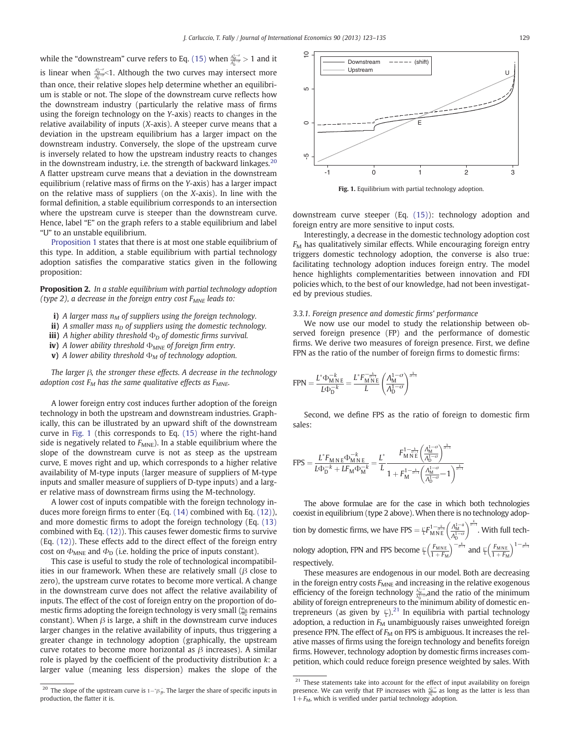<span id="page-6-0"></span>while the "downstream" curve refers to Eq. [\(15\)](#page-4-0) when  $\frac{A_{\rm M}^{1-\sigma}}{A_{\rm D}^{1-\sigma}}$  > 1 and it D is linear when  $\frac{A_{\rm M}^{\rm I}-\sigma}{A_{\rm D}^{\rm I}-\sigma}$  at Although the two curves may intersect more than once, their relative slopes help determine whether an equilibrium is stable or not. The slope of the downstream curve reflects how the downstream industry (particularly the relative mass of firms using the foreign technology on the Y-axis) reacts to changes in the relative availability of inputs (X-axis). A steeper curve means that a deviation in the upstream equilibrium has a larger impact on the downstream industry. Conversely, the slope of the upstream curve is inversely related to how the upstream industry reacts to changes in the downstream industry, i.e. the strength of backward linkages.<sup>20</sup> A flatter upstream curve means that a deviation in the downstream equilibrium (relative mass of firms on the Y-axis) has a larger impact on the relative mass of suppliers (on the X-axis). In line with the formal definition, a stable equilibrium corresponds to an intersection where the upstream curve is steeper than the downstream curve. Hence, label "E" on the graph refers to a stable equilibrium and label "U" to an unstable equilibrium.

[Proposition 1](#page-5-0) states that there is at most one stable equilibrium of this type. In addition, a stable equilibrium with partial technology adoption satisfies the comparative statics given in the following proposition:

**Proposition 2.** In a stable equilibrium with partial technology adoption (type 2), a decrease in the foreign entry cost  $F_{MNE}$  leads to:

- i) A larger mass  $n_M$  of suppliers using the foreign technology.
- ii) A smaller mass  $n_D$  of suppliers using the domestic technology.
- iii) A higher ability threshold  $\Phi_D$  of domestic firms survival.
- iv) A lower ability threshold  $\Phi_{MNE}$  of foreign firm entry.
- v) A lower ability threshold  $\Phi_M$  of technology adoption.

The larger β, the stronger these effects. A decrease in the technology adoption cost  $F_M$  has the same qualitative effects as  $F_{MNE}$ .

A lower foreign entry cost induces further adoption of the foreign technology in both the upstream and downstream industries. Graphically, this can be illustrated by an upward shift of the downstream curve in Fig. 1 (this corresponds to Eq. [\(15\)](#page-4-0) where the right-hand side is negatively related to  $F_{MNE}$ ). In a stable equilibrium where the slope of the downstream curve is not as steep as the upstream curve, E moves right and up, which corresponds to a higher relative availability of M-type inputs (larger measure of suppliers of M-type inputs and smaller measure of suppliers of D-type inputs) and a larger relative mass of downstream firms using the M-technology.

A lower cost of inputs compatible with the foreign technology induces more foreign firms to enter (Eq. [\(14\)](#page-4-0) combined with Eq. [\(12\)](#page-4-0)), and more domestic firms to adopt the foreign technology (Eq. [\(13\)](#page-4-0) combined with Eq. [\(12\)\)](#page-4-0). This causes fewer domestic firms to survive (Eq. [\(12\)\)](#page-4-0). These effects add to the direct effect of the foreign entry cost on  $\Phi_{\text{MNE}}$  and  $\Phi_{\text{D}}$  (i.e. holding the price of inputs constant).

This case is useful to study the role of technological incompatibilities in our framework. When these are relatively small ( $\beta$  close to zero), the upstream curve rotates to become more vertical. A change in the downstream curve does not affect the relative availability of inputs. The effect of the cost of foreign entry on the proportion of domestic firms adopting the foreign technology is very small  $(\frac{4b_M}{d_D}$  remains constant). When  $\beta$  is large, a shift in the downstream curve induces larger changes in the relative availability of inputs, thus triggering a greater change in technology adoption (graphically, the upstream curve rotates to become more horizontal as  $\beta$  increases). A similar role is played by the coefficient of the productivity distribution k: a larger value (meaning less dispersion) makes the slope of the

<sup>&</sup>lt;sup>20</sup> The slope of the upstream curve is  $1-\tilde{B}_{\overline{B}}$ . The larger the share of specific inputs in production, the flatter it is.



Fig. 1. Equilibrium with partial technology adoption.

downstream curve steeper (Eq. [\(15\)\)](#page-4-0): technology adoption and foreign entry are more sensitive to input costs.

Interestingly, a decrease in the domestic technology adoption cost  $F_M$  has qualitatively similar effects. While encouraging foreign entry triggers domestic technology adoption, the converse is also true: facilitating technology adoption induces foreign entry. The model hence highlights complementarities between innovation and FDI policies which, to the best of our knowledge, had not been investigated by previous studies.

# 3.3.1. Foreign presence and domestic firms' performance

We now use our model to study the relationship between observed foreign presence (FP) and the performance of domestic firms. We derive two measures of foreign presence. First, we define FPN as the ratio of the number of foreign firms to domestic firms:

$$
\text{FPN} = \frac{L^*\Phi_{\text{M}\,\text{N}\,\text{E}}^{-k}}{L\Phi_{\text{D}}^{-k}} = \frac{L^*F_{\text{M}\,\text{N}\,\text{E}}^{-\frac{k}{\sigma-1}}}{L}\left(\frac{\Lambda_{\text{M}}^{1-\sigma}}{\Lambda_{\text{D}}^{1-\sigma}}\right)^{\frac{k}{\sigma-1}}
$$

Second, we define FPS as the ratio of foreign to domestic firm sales:

$$
\text{FPS} = \frac{L^* F_{\text{MNE}} \Phi_{\text{MNE}}^{-k}}{L \Phi_{\text{D}}^{-k} + L F_{\text{M}} \Phi_{\text{M}}^{-k}} = \frac{L^*}{L} \frac{F_{\text{MNE}}^{1 - \frac{t}{\sigma-1}} \left(\frac{\Lambda_{\text{M}}^{1 - \sigma}}{\Lambda_{\text{D}}^{1 - \sigma}}\right)^{\frac{k}{\sigma-1}}}{1 + F_{\text{M}}^{1 - \frac{k}{\sigma-1}} \left(\frac{\Lambda_{\text{M}}^{1 - \sigma}}{\Lambda_{\text{D}}^{1 - \sigma}} - 1\right)^{\frac{k}{\sigma-1}}}
$$

The above formulae are for the case in which both technologies coexist in equilibrium (type 2 above). When there is no technology adop-

tion by domestic firms, we have FPS = 
$$
\frac{r}{t} F_{\text{MNE}}^{1-\frac{s}{\sigma-1}} \left( \frac{A_{\text{M}}^{1-a}}{A_{\text{D}}^{1-\sigma}} \right)^{\frac{s}{\sigma-1}}
$$
. With full technology adoption, FPN and FPS become  $\frac{r}{t} \left( \frac{F_{\text{MNE}}}{1 + F_{\text{M}}} \right)^{-\frac{s}{\sigma-1}}$  and  $\frac{r}{t} \left( \frac{F_{\text{MNE}}}{1 + F_{\text{M}}} \right)^{1-\frac{s}{\sigma-1}}$  respectively.

These measures are endogenous in our model. Both are decreasing in the foreign entry costs  $F_{\text{MNE}}$  and increasing in the relative exogenous efficiency of the foreign technology  $\frac{\lambda_{\text{M}-}^{1-e}}{\lambda_{\text{M}-}^{1-e}}$  and the ratio of the minimum ability of foreign entrepreneurs to the minimum ability of domestic entrepreneurs (as given by  $\frac{L^*}{L}$ ).<sup>21</sup> In equilibria with partial technology adoption, a reduction in  $F_M$  unambiguously raises unweighted foreign presence FPN. The effect of  $F_M$  on FPS is ambiguous. It increases the relative masses of firms using the foreign technology and benefits foreign firms. However, technology adoption by domestic firms increases competition, which could reduce foreign presence weighted by sales. With

<sup>&</sup>lt;sup>21</sup> These statements take into account for the effect of input availability on foreign presence. We can verify that FP increases with  $\frac{A_{\rm M}^{1-\sigma}}{A_{\rm D}^{1-\sigma}}$  as long as the latter is less than  $1 + F_{\rm M}$ , which is verified under partial technology adoption.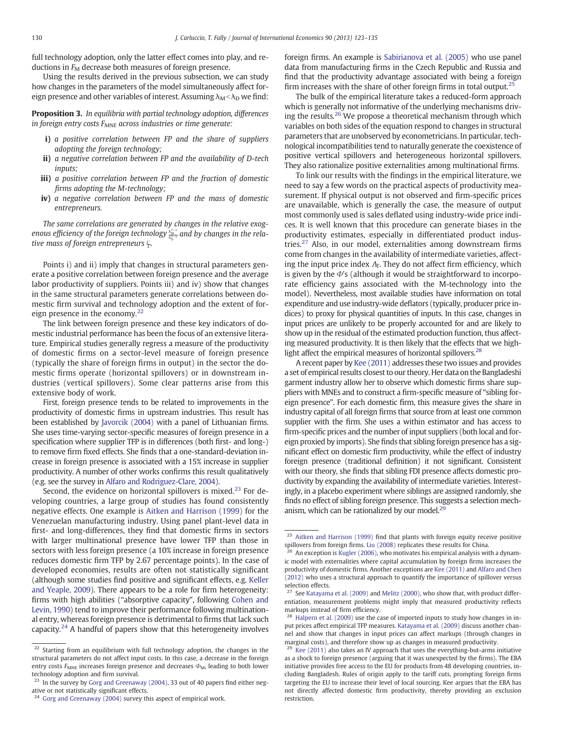full technology adoption, only the latter effect comes into play, and reductions in  $F_M$  decrease both measures of foreign presence.

Using the results derived in the previous subsection, we can study how changes in the parameters of the model simultaneously affect foreign presence and other variables of interest. Assuming  $\lambda_M < \lambda_D$  we find:

**Proposition 3.** In equilibria with partial technology adoption, differences in foreign entry costs  $F_{MNF}$  across industries or time generate:

- i) a positive correlation between FP and the share of suppliers adopting the foreign technology;
- ii) a negative correlation between FP and the availability of D-tech inputs;
- iii) a positive correlation between FP and the fraction of domestic firms adopting the M-technology;
- iv) a negative correlation between FP and the mass of domestic entrepreneurs.

The same correlations are generated by changes in the relative exogenous efficiency of the foreign technology  $\frac{\lambda_n^{1-\varepsilon}}{\lambda_0^{1-\varepsilon}}$  and by changes in the relative mass of foreign entrepreneurs  $\frac{L^*}{L^*}$ 

Points i) and ii) imply that changes in structural parameters generate a positive correlation between foreign presence and the average labor productivity of suppliers. Points iii) and iv) show that changes in the same structural parameters generate correlations between domestic firm survival and technology adoption and the extent of foreign presence in the economy.<sup>22</sup>

The link between foreign presence and these key indicators of domestic industrial performance has been the focus of an extensive literature. Empirical studies generally regress a measure of the productivity of domestic firms on a sector-level measure of foreign presence (typically the share of foreign firms in output) in the sector the domestic firms operate (horizontal spillovers) or in downstream industries (vertical spillovers). Some clear patterns arise from this extensive body of work.

First, foreign presence tends to be related to improvements in the productivity of domestic firms in upstream industries. This result has been established by [Javorcik \(2004\)](#page-12-0) with a panel of Lithuanian firms. She uses time-varying sector-specific measures of foreign presence in a specification where supplier TFP is in differences (both first- and long-) to remove firm fixed effects. She finds that a one-standard-deviation increase in foreign presence is associated with a 15% increase in supplier productivity. A number of other works confirms this result qualitatively (e.g. see the survey in [Alfaro and Rodriguez-Clare, 2004](#page-12-0)).

Second, the evidence on horizontal spillovers is mixed.<sup>23</sup> For developing countries, a large group of studies has found consistently negative effects. One example is [Aitken and Harrison \(1999\)](#page-12-0) for the Venezuelan manufacturing industry. Using panel plant-level data in first- and long-differences, they find that domestic firms in sectors with larger multinational presence have lower TFP than those in sectors with less foreign presence (a 10% increase in foreign presence reduces domestic firm TFP by 2.67 percentage points). In the case of developed economies, results are often not statistically significant (although some studies find positive and significant effects, e.g. [Keller](#page-12-0) [and Yeaple, 2009\)](#page-12-0). There appears to be a role for firm heterogeneity: firms with high abilities ("absorptive capacity", following [Cohen and](#page-12-0) [Levin, 1990](#page-12-0)) tend to improve their performance following multinational entry, whereas foreign presence is detrimental to firms that lack such capacity. $24$  A handful of papers show that this heterogeneity involves foreign firms. An example is [Sabirianova et al. \(2005\)](#page-12-0) who use panel data from manufacturing firms in the Czech Republic and Russia and find that the productivity advantage associated with being a foreign firm increases with the share of other foreign firms in total output.<sup>25</sup>

The bulk of the empirical literature takes a reduced-form approach which is generally not informative of the underlying mechanisms driving the results. $^{26}$  We propose a theoretical mechanism through which variables on both sides of the equation respond to changes in structural parameters that are unobserved by econometricians. In particular, technological incompatibilities tend to naturally generate the coexistence of positive vertical spillovers and heterogeneous horizontal spillovers. They also rationalize positive externalities among multinational firms.

To link our results with the findings in the empirical literature, we need to say a few words on the practical aspects of productivity measurement. If physical output is not observed and firm-specific prices are unavailable, which is generally the case, the measure of output most commonly used is sales deflated using industry-wide price indices. It is well known that this procedure can generate biases in the productivity estimates, especially in differentiated product industries.<sup>27</sup> Also, in our model, externalities among downstream firms come from changes in the availability of intermediate varieties, affecting the input price index  $Λ<sub>T</sub>$ . They do not affect firm efficiency, which is given by the  $\Phi$ 's (although it would be straightforward to incorporate efficiency gains associated with the M-technology into the model). Nevertheless, most available studies have information on total expenditure and use industry-wide deflators (typically, producer price indices) to proxy for physical quantities of inputs. In this case, changes in input prices are unlikely to be properly accounted for and are likely to show up in the residual of the estimated production function, thus affecting measured productivity. It is then likely that the effects that we highlight affect the empirical measures of horizontal spillovers.<sup>28</sup>

A recent paper by [Kee \(2011\)](#page-12-0) addresses these two issues and provides a set of empirical results closest to our theory. Her data on the Bangladeshi garment industry allow her to observe which domestic firms share suppliers with MNEs and to construct a firm-specific measure of "sibling foreign presence". For each domestic firm, this measure gives the share in industry capital of all foreign firms that source from at least one common supplier with the firm. She uses a within estimator and has access to firm-specific prices and the number of input suppliers (both local and foreign proxied by imports). She finds that sibling foreign presence has a significant effect on domestic firm productivity, while the effect of industry foreign presence (traditional definition) it not significant. Consistent with our theory, she finds that sibling FDI presence affects domestic productivity by expanding the availability of intermediate varieties. Interestingly, in a placebo experiment where siblings are assigned randomly, she finds no effect of sibling foreign presence. This suggests a selection mechanism, which can be rationalized by our model. $^{29}$ 

<sup>&</sup>lt;sup>22</sup> Starting from an equilibrium with full technology adoption, the changes in the structural parameters do not affect input costs. In this case, a decrease in the foreign entry costs  $F_{\text{MNE}}$  increases foreign presence and decreases  $\Phi_{\text{M}$ , leading to both lower technology adoption and firm survival.

<sup>23</sup> In the survey by [Gorg and Greenaway \(2004\),](#page-12-0) 33 out of 40 papers find either negative or not statistically significant effects.

<sup>&</sup>lt;sup>24</sup> [Gorg and Greenaway \(2004\)](#page-12-0) survey this aspect of empirical work.

<sup>&</sup>lt;sup>25</sup> [Aitken and Harrison \(1999\)](#page-12-0) find that plants with foreign equity receive positive spillovers from foreign firms. [Liu \(2008\)](#page-12-0) replicates these results for China.

An exception is [Kugler \(2006\),](#page-12-0) who motivates his empirical analysis with a dynamic model with externalities where capital accumulation by foreign firms increases the productivity of domestic firms. Another exceptions are [Kee \(2011\)](#page-12-0) and [Alfaro and Chen](#page-12-0) [\(2012\)](#page-12-0) who uses a structural approach to quantify the importance of spillover versus selection effects.

 $27$  See [Katayama et al. \(2009\)](#page-12-0) and [Melitz \(2000\)](#page-12-0), who show that, with product differentiation, measurement problems might imply that measured productivity reflects markups instead of firm efficiency.

<sup>&</sup>lt;sup>28</sup> [Halpern et al. \(2009\)](#page-12-0) use the case of imported inputs to study how changes in input prices affect empirical TFP measures. [Katayama et al. \(2009\)](#page-12-0) discuss another channel and show that changes in input prices can affect markups (through changes in marginal costs), and therefore show up as changes in measured productivity.

 $29$  [Kee \(2011\)](#page-12-0) also takes an IV approach that uses the everything-but-arms initiative as a shock to foreign presence (arguing that it was unexpected by the firms). The EBA initiative provides free access to the EU for products from 48 developing countries, including Bangladesh. Rules of origin apply to the tariff cuts, prompting foreign firms targeting the EU to increase their level of local sourcing. Kee argues that the EBA has not directly affected domestic firm productivity, thereby providing an exclusion restriction.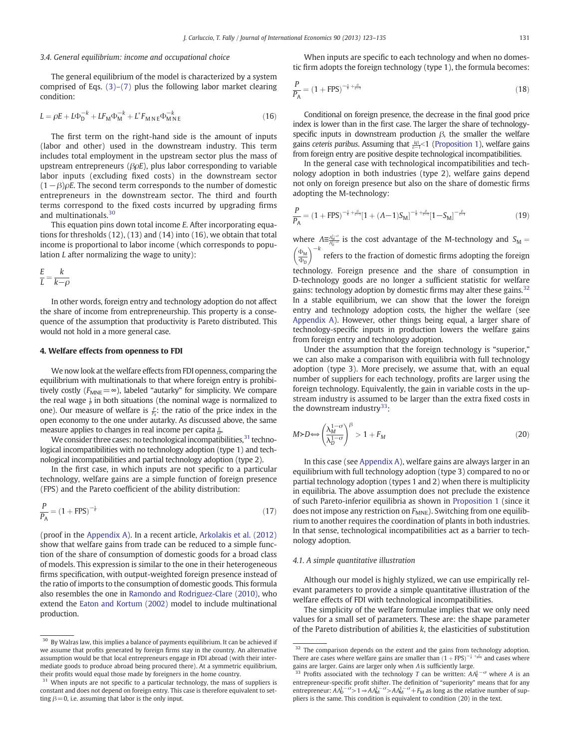# <span id="page-8-0"></span>3.4. General equilibrium: income and occupational choice

The general equilibrium of the model is characterized by a system comprised of Eqs. [\(3\)](#page-3-0)–(7) plus the following labor market clearing condition:

$$
L = \rho E + L \Phi_D^{-k} + L F_M \Phi_M^{-k} + L^* F_{MNE} \Phi_{MNE}^{-k}
$$
 (16)

The first term on the right-hand side is the amount of inputs (labor and other) used in the downstream industry. This term includes total employment in the upstream sector plus the mass of upstream entrepreneurs ( $\beta \rho E$ ), plus labor corresponding to variable labor inputs (excluding fixed costs) in the downstream sector  $(1-\beta)\rho E$ . The second term corresponds to the number of domestic entrepreneurs in the downstream sector. The third and fourth terms correspond to the fixed costs incurred by upgrading firms and multinationals.<sup>30</sup>

This equation pins down total income E. After incorporating equations for thresholds (12), (13) and (14) into (16), we obtain that total income is proportional to labor income (which corresponds to population L after normalizing the wage to unity):

$$
\frac{E}{L} = \frac{k}{k - \rho}
$$

In other words, foreign entry and technology adoption do not affect the share of income from entrepreneurship. This property is a consequence of the assumption that productivity is Pareto distributed. This would not hold in a more general case.

# 4. Welfare effects from openness to FDI

We now look at the welfare effects from FDI openness, comparing the equilibrium with multinationals to that where foreign entry is prohibitively costly ( $F_{MNE} = \infty$ ), labeled "autarky" for simplicity. We compare the real wage  $\frac{1}{p}$  in both situations (the nominal wage is normalized to one). Our measure of welfare is  $\frac{p}{P_A}$ : the ratio of the price index in the open economy to the one under autarky. As discussed above, the same measure applies to changes in real income per capita  $\frac{E}{L^{p}}$ 

We consider three cases: no technological incompatibilities,  $31$  technological incompatibilities with no technology adoption (type 1) and technological incompatibilities and partial technology adoption (type 2).

In the first case, in which inputs are not specific to a particular technology, welfare gains are a simple function of foreign presence (FPS) and the Pareto coefficient of the ability distribution:

$$
\frac{P}{P_A} = (1 + \text{FPS})^{-\frac{1}{k}}\tag{17}
$$

(proof in the [Appendix A\)](#page-10-0). In a recent article, [Arkolakis et al. \(2012\)](#page-12-0) show that welfare gains from trade can be reduced to a simple function of the share of consumption of domestic goods for a broad class of models. This expression is similar to the one in their heterogeneous firms specification, with output-weighted foreign presence instead of the ratio of imports to the consumption of domestic goods. This formula also resembles the one in [Ramondo and Rodriguez-Clare \(2010\)](#page-12-0), who extend the [Eaton and Kortum \(2002\)](#page-12-0) model to include multinational production.

When inputs are specific to each technology and when no domestic firm adopts the foreign technology (type 1), the formula becomes:

$$
\frac{P}{P_A} = \left(1 + \text{FPS}\right)^{-\frac{1}{k} + \frac{\beta}{\varepsilon - 1}}\tag{18}
$$

Conditional on foreign presence, the decrease in the final good price index is lower than in the first case. The larger the share of technologyspecific inputs in downstream production  $\beta$ , the smaller the welfare gains ceteris paribus. Assuming that  $\frac{k\beta}{\epsilon-1}<1$  [\(Proposition 1](#page-5-0)), welfare gains from foreign entry are positive despite technological incompatibilities.

In the general case with technological incompatibilities and technology adoption in both industries (type 2), welfare gains depend not only on foreign presence but also on the share of domestic firms adopting the M-technology:

$$
\frac{P}{P_A} = (1 + \text{FPS})^{-\frac{1}{k} + \frac{\beta}{\alpha - 1}} [1 + (A - 1)S_M]^{-\frac{1}{k} + \frac{\beta}{\alpha - 1}} [1 - S_M]^{-\frac{\beta}{\alpha - 1}}
$$
(19)

where  $\Lambda \equiv \frac{\Lambda_{\rm M}^{1-\sigma}}{\Lambda_{\rm D}^{1-\sigma}}$  is the cost advantage of the M-technology and  $S_{\rm M}$  =

 $\Phi_{\mathsf{M}}$  $\Phi_{\text{D}}$  $\left(\frac{\Phi_M}{\Phi}\right)^{-k}$  refers to the fraction of domestic firms adopting the foreign technology. Foreign presence and the share of consumption in

D-technology goods are no longer a sufficient statistic for welfare gains: technology adoption by domestic firms may alter these gains.  $32$ In a stable equilibrium, we can show that the lower the foreign entry and technology adoption costs, the higher the welfare (see [Appendix A\)](#page-10-0). However, other things being equal, a larger share of technology-specific inputs in production lowers the welfare gains from foreign entry and technology adoption.

Under the assumption that the foreign technology is "superior," we can also make a comparison with equilibria with full technology adoption (type 3). More precisely, we assume that, with an equal number of suppliers for each technology, profits are larger using the foreign technology. Equivalently, the gain in variable costs in the upstream industry is assumed to be larger than the extra fixed costs in the downstream industry $33$ :

$$
M \succ D \Longleftrightarrow \left(\frac{\lambda_M^{1-\sigma}}{\lambda_D^{1-\sigma}}\right)^{\beta} > 1 + F_M \tag{20}
$$

In this case (see [Appendix A](#page-10-0)), welfare gains are always larger in an equilibrium with full technology adoption (type 3) compared to no or partial technology adoption (types 1 and 2) when there is multiplicity in equilibria. The above assumption does not preclude the existence of such Pareto-inferior equilibria as shown in [Proposition 1](#page-5-0) (since it does not impose any restriction on  $F_{\text{MNF}}$ ). Switching from one equilibrium to another requires the coordination of plants in both industries. In that sense, technological incompatibilities act as a barrier to technology adoption.

# 4.1. A simple quantitative illustration

Although our model is highly stylized, we can use empirically relevant parameters to provide a simple quantitative illustration of the welfare effects of FDI with technological incompatibilities.

The simplicity of the welfare formulae implies that we only need values for a small set of parameters. These are: the shape parameter of the Pareto distribution of abilities k, the elasticities of substitution

 $30$  By Walras law, this implies a balance of payments equilibrium. It can be achieved if we assume that profits generated by foreign firms stay in the country. An alternative assumption would be that local entrepreneurs engage in FDI abroad (with their intermediate goods to produce abroad being procured there). At a symmetric equilibrium, their profits would equal those made by foreigners in the home country.

<sup>&</sup>lt;sup>31</sup> When inputs are not specific to a particular technology, the mass of suppliers is constant and does not depend on foreign entry. This case is therefore equivalent to setting  $\beta = 0$ , i.e. assuming that labor is the only input.

<sup>&</sup>lt;sup>32</sup> The comparison depends on the extent and the gains from technology adoption. There are cases where welfare gains are smaller than  $(1 + \text{FPS})^{-\frac{1}{k} + \frac{\beta}{k-1}}$  and cases where gains are larger. Gains are larger only when Λ is sufficiently large.

<sup>&</sup>lt;sup>33</sup> Profits associated with the technology T can be written:  $AA<sub>T</sub><sup>1- $\sigma$</sup>$  where A is an entrepreneur-specific profit shifter. The definition of "superiority" means that for any entrepreneur:  $A/\Lambda_D^{1-\sigma} > 1 \Rightarrow A/\Lambda_M^{1-\sigma} > A/\Lambda_M^{1-\sigma} + F_M$  as long as the relative number of suppliers is the same. This condition is equivalent to condition (20) in the text.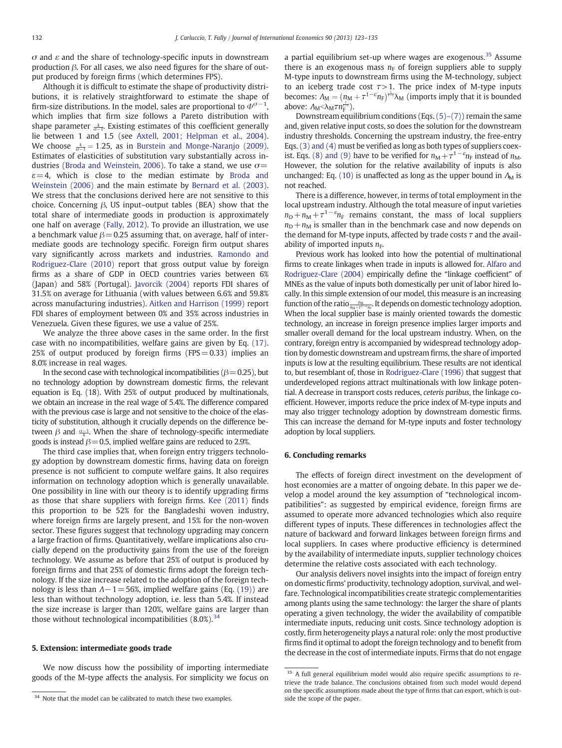<span id="page-9-0"></span> $σ$  and  $ε$  and the share of technology-specific inputs in downstream production β. For all cases, we also need figures for the share of output produced by foreign firms (which determines FPS).

Although it is difficult to estimate the shape of productivity distributions, it is relatively straightforward to estimate the shape of firm-size distributions. In the model, sales are proportional to  $\Phi^{\sigma-1}$ , which implies that firm size follows a Pareto distribution with shape parameter  $\frac{k}{\sigma-1}$ . Existing estimates of this coefficient generally lie between 1 and 1.5 (see [Axtell, 2001; Helpman et al., 2004](#page-12-0)). We choose  $\frac{k}{\sigma-1}$  = 1.25, as in [Burstein and Monge-Naranjo \(2009\).](#page-12-0) Estimates of elasticities of substitution vary substantially across in-dustries [\(Broda and Weinstein, 2006](#page-12-0)). To take a stand, we use  $\sigma=$  $\varepsilon$  = 4, which is close to the median estimate by [Broda and](#page-12-0) [Weinstein \(2006\)](#page-12-0) and the main estimate by [Bernard et al. \(2003\).](#page-12-0) We stress that the conclusions derived here are not sensitive to this choice. Concerning  $β$ , US input–output tables (BEA) show that the total share of intermediate goods in production is approximately one half on average ([Fally, 2012\)](#page-12-0). To provide an illustration, we use a benchmark value  $\beta$  = 0.25 assuming that, on average, half of intermediate goods are technology specific. Foreign firm output shares vary significantly across markets and industries. [Ramondo and](#page-12-0) [Rodriguez-Clare \(2010\)](#page-12-0) report that gross output value by foreign firms as a share of GDP in OECD countries varies between 6% (Japan) and 58% (Portugal). [Javorcik \(2004\)](#page-12-0) reports FDI shares of 31.5% on average for Lithuania (with values between 6.6% and 59.8% across manufacturing industries). [Aitken and Harrison \(1999\)](#page-12-0) report FDI shares of employment between 0% and 35% across industries in Venezuela. Given these figures, we use a value of 25%.

We analyze the three above cases in the same order. In the first case with no incompatibilities, welfare gains are given by Eq. [\(17\).](#page-8-0) 25% of output produced by foreign firms ( $FPS = 0.33$ ) implies an 8.0% increase in real wages.

In the second case with technological incompatibilities ( $\beta$  = 0.25), but no technology adoption by downstream domestic firms, the relevant equation is Eq. (18). With 25% of output produced by multinationals, we obtain an increase in the real wage of 5.4%. The difference compared with the previous case is large and not sensitive to the choice of the elasticity of substitution, although it crucially depends on the difference between  $\beta$  and  $\frac{\sigma-1}{k}$ . When the share of technology-specific intermediate goods is instead  $\beta$  = 0.5, implied welfare gains are reduced to 2.9%.

The third case implies that, when foreign entry triggers technology adoption by downstream domestic firms, having data on foreign presence is not sufficient to compute welfare gains. It also requires information on technology adoption which is generally unavailable. One possibility in line with our theory is to identify upgrading firms as those that share suppliers with foreign firms. [Kee \(2011\)](#page-12-0) finds this proportion to be 52% for the Bangladeshi woven industry, where foreign firms are largely present, and 15% for the non-woven sector. These figures suggest that technology upgrading may concern a large fraction of firms. Quantitatively, welfare implications also crucially depend on the productivity gains from the use of the foreign technology. We assume as before that 25% of output is produced by foreign firms and that 25% of domestic firms adopt the foreign technology. If the size increase related to the adoption of the foreign technology is less than  $Λ-1=56%$ , implied welfare gains (Eq. [\(19\)](#page-8-0)) are less than without technology adoption, i.e. less than 5.4%. If instead the size increase is larger than 120%, welfare gains are larger than those without technological incompatibilities  $(8.0\%)$ <sup>34</sup>

#### 5. Extension: intermediate goods trade

We now discuss how the possibility of importing intermediate goods of the M-type affects the analysis. For simplicity we focus on a partial equilibrium set-up where wages are exogenous.<sup>35</sup> Assume there is an exogenous mass  $n_F$  of foreign suppliers able to supply M-type inputs to downstream firms using the M-technology, subject to an iceberg trade cost  $\tau > 1$ . The price index of M-type inputs becomes:  $\Lambda_M = (n_M + \tau^{1-\epsilon} n_F)^{\frac{1}{1-\epsilon}} \lambda_M$  (imports imply that it is bounded above:  $\Lambda_M < \lambda_M \tau n_{\rm F}^{\frac{1}{1-\epsilon}}$ ).

Downstream equilibrium conditions (Eqs.  $(5)-(7)$  $(5)-(7)$ ) remain the same and, given relative input costs, so does the solution for the downstream industry thresholds. Concerning the upstream industry, the free-entry Eqs. [\(3\) and \(4\)](#page-3-0) must be verified as long as both types of suppliers coex-ist. Eqs. [\(8\) and \(9\)](#page-3-0) have to be verified for  $n_M + \tau^{1-\epsilon} n_F$  instead of  $n_M$ . However, the solution for the relative availability of inputs is also unchanged: Eq. [\(10\)](#page-4-0) is unaffected as long as the upper bound in  $\Lambda_M$  is not reached.

There is a difference, however, in terms of total employment in the local upstream industry. Although the total measure of input varieties  $n_D + n_M + \tau^{1-\epsilon} n_F$  remains constant, the mass of local suppliers  $n_D+n_M$  is smaller than in the benchmark case and now depends on the demand for M-type inputs, affected by trade costs  $\tau$  and the availability of imported inputs  $n_F$ .

Previous work has looked into how the potential of multinational firms to create linkages when trade in inputs is allowed for. [Alfaro and](#page-12-0) [Rodriguez-Clare \(2004\)](#page-12-0) empirically define the "linkage coefficient" of MNEs as the value of inputs both domestically per unit of labor hired locally. In this simple extension of our model, this measure is an increasing function of the ratio  $\frac{n_M}{n_{M+T}-\varepsilon n_F}$ . It depends on domestic technology adoption. When the local supplier base is mainly oriented towards the domestic technology, an increase in foreign presence implies larger imports and smaller overall demand for the local upstream industry. When, on the contrary, foreign entry is accompanied by widespread technology adoption by domestic downstream and upstream firms, the share of imported inputs is low at the resulting equilibrium. These results are not identical to, but resemblant of, those in [Rodriguez-Clare \(1996\)](#page-12-0) that suggest that underdeveloped regions attract multinationals with low linkage potential. A decrease in transport costs reduces, ceteris paribus, the linkage coefficient. However, imports reduce the price index of M-type inputs and may also trigger technology adoption by downstream domestic firms. This can increase the demand for M-type inputs and foster technology adoption by local suppliers.

# 6. Concluding remarks

The effects of foreign direct investment on the development of host economies are a matter of ongoing debate. In this paper we develop a model around the key assumption of "technological incompatibilities": as suggested by empirical evidence, foreign firms are assumed to operate more advanced technologies which also require different types of inputs. These differences in technologies affect the nature of backward and forward linkages between foreign firms and local suppliers. In cases where productive efficiency is determined by the availability of intermediate inputs, supplier technology choices determine the relative costs associated with each technology.

Our analysis delivers novel insights into the impact of foreign entry on domestic firms' productivity, technology adoption, survival, and welfare. Technological incompatibilities create strategic complementarities among plants using the same technology: the larger the share of plants operating a given technology, the wider the availability of compatible intermediate inputs, reducing unit costs. Since technology adoption is costly, firm heterogeneity plays a natural role: only the most productive firms find it optimal to adopt the foreign technology and to benefit from the decrease in the cost of intermediate inputs. Firms that do not engage

<sup>&</sup>lt;sup>34</sup> Note that the model can be calibrated to match these two examples.

<sup>&</sup>lt;sup>35</sup> A full general equilibrium model would also require specific assumptions to retrieve the trade balance. The conclusions obtained from such model would depend on the specific assumptions made about the type of firms that can export, which is outside the scope of the paper.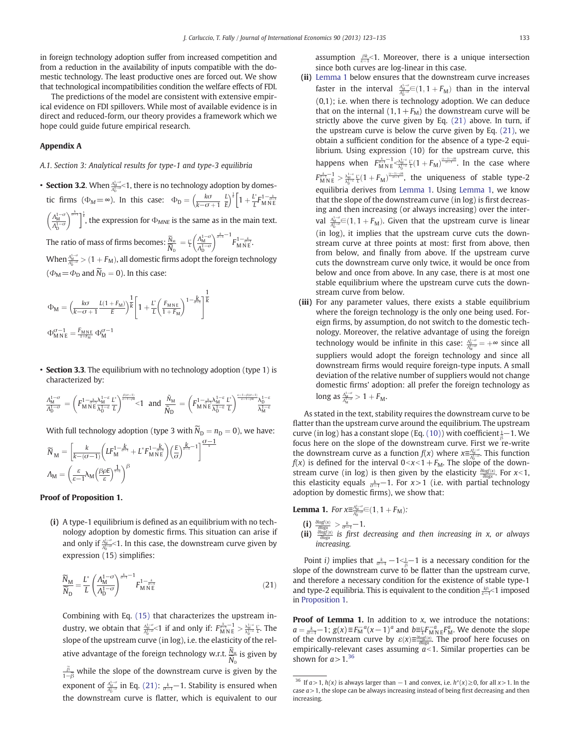<span id="page-10-0"></span>in foreign technology adoption suffer from increased competition and from a reduction in the availability of inputs compatible with the domestic technology. The least productive ones are forced out. We show that technological incompatibilities condition the welfare effects of FDI.

The predictions of the model are consistent with extensive empirical evidence on FDI spillovers. While most of available evidence is in direct and reduced-form, our theory provides a framework which we hope could guide future empirical research.

# Appendix A

- A.1. Section 3: Analytical results for type-1 and type-3 equilibria
- **Section 3.2**. When  $\frac{\Lambda_{\rm M}^{1-\sigma}}{\Lambda_{\rm D}^{1-\sigma}}$ <1, there is no technology adoption by domestic firms ( $\Phi_M = \infty$ ). In this case:  $\Phi_D = \left(\frac{k\sigma}{k-\sigma+1}\right)$ L  $\left(\frac{k\sigma}{k-\sigma+1} \frac{L}{E}\right)^{\frac{1}{k}} \left[1+\frac{L^*}{L}F_{MN}^{1-\frac{k}{\sigma-1}}\right]$ 
	- $\frac{\Lambda_{\rm M}^{1-\sigma}}{\Lambda_{\rm D}^{1-\sigma}}$  $\left(\frac{\Lambda_{\rm M}^{1-\sigma}}{\Lambda_{\rm D}^{1-\sigma}}\right)^{\frac{1}{\sigma-1}}\bigg]$ , the expression for  $\Phi_{\rm MNE}$  is the same as in the main text.

The ratio of mass of firms becomes:  $\frac{\widetilde{N}_M}{\widetilde{N}_D} = \frac{L^2}{L} \left( \frac{A_M^{1-\sigma}}{A_D^{1-\sigma}} \right)$  $\left(\frac{\Lambda_{\rm M}^{1-\sigma}}{\Lambda^{1-\sigma}}\right)^{\frac{k}{\sigma-1}-1} F_{\rm MNE}^{1-\frac{k}{\sigma-1}}.$ 

When  $\frac{A_{\rm M}^{1-\sigma}}{A_{\rm D}^{1-\sigma}}> (1+F_{\rm M}),$  all domestic firms adopt the foreign technology  $(\Phi_M = \Phi_D \text{ and } \widetilde{N}_D = 0)$ . In this case:

$$
\Phi_{\rm M} = \left(\frac{k\sigma}{k-\sigma+1} \frac{L(1+F_{\rm M})}{E}\right)^{\frac{1}{k}} \left[1 + \frac{L^*}{L} \left(\frac{F_{\rm MNE}}{1+F_{\rm M}}\right)^{1-\frac{k}{\sigma-1}}\right]^{\frac{1}{k}}
$$

$$
\Phi_{\rm MNE}^{\sigma-1} = \frac{F_{\rm MNE}}{1+F_{\rm M}} \Phi_{\rm M}^{\sigma-1}
$$

• Section 3.3. The equilibrium with no technology adoption (type 1) is characterized by:

$$
\tfrac{\Lambda_{M}^{1-\sigma}}{\Lambda_{D}^{1-\sigma}}=\left(F_{M}^{1-\frac{\epsilon}{\sigma-1}\lambda_{M}^{1-\epsilon}}L^{*}\right)^{\frac{p(\sigma-1)}{\epsilon-1-\rho k}}<1\ \text{ and } \tfrac{\tilde{N}_{M}}{\tilde{N}_{D}}=\left(F_{M N}^{1-\frac{\epsilon}{\sigma-1}\lambda_{M}^{1-\epsilon}}L^{*}\right)^{\frac{\epsilon-1-\rho(\sigma-1)}{\epsilon-\epsilon-\rho k}}\tfrac{\lambda_{D}^{1-\epsilon}}{\lambda_{M}^{1-\epsilon}}\tfrac{\lambda_{D}^{1}}{\lambda_{M}^{1-\epsilon}}\tfrac{\lambda_{D}^{1-\epsilon}}{\lambda_{M}^{1-\epsilon}}L^{*}\tfrac{\lambda_{D}^{1-\epsilon}}{\lambda_{M}^{1-\epsilon}}L^{*}\tfrac{\lambda_{D}^{1-\epsilon}}{\lambda_{M}^{1-\epsilon}}L^{*}\tfrac{\lambda_{D}^{1-\epsilon}}{\lambda_{M}^{1-\epsilon}}L^{*}\tfrac{\lambda_{D}^{1-\epsilon}}{\lambda_{M}^{1-\epsilon}}L^{*}\tfrac{\lambda_{D}^{1-\epsilon}}{\lambda_{M}^{1-\epsilon}}L^{*}\tfrac{\lambda_{D}^{1-\epsilon}}{\lambda_{M}^{1-\epsilon}}L^{*}\tfrac{\lambda_{D}^{1-\epsilon}}{\lambda_{M}^{1-\epsilon}}L^{*}\tfrac{\lambda_{D}^{1-\epsilon}}{\lambda_{M}^{1-\epsilon}}L^{*}\tfrac{\lambda_{D}^{1-\epsilon}}{\lambda_{M}^{1-\epsilon}}L^{*}\tfrac{\lambda_{D}^{1-\epsilon}}{\lambda_{M}^{1-\epsilon}}L^{*}\tfrac{\lambda_{D}^{1-\epsilon}}{\lambda_{M}^{1-\epsilon}}L^{*}\tfrac{\lambda_{D}^{1-\epsilon}}{\lambda_{M}^{1-\epsilon}}L^{*}\tfrac{\lambda_{D}^{1-\epsilon}}{\lambda_{M}^{1-\epsilon}}L^{*}\tfrac{\lambda_{D}^{1-\epsilon}}{\lambda_{M}^{1-\epsilon}}L^{*}\tfrac{\lambda_{D}^{1-\epsilon}}{\lambda_{M}^{1-\epsilon}}L^{*}\tfrac{\lambda_{D}^{1-\epsilon}}{\lambda_{M}^{1-\epsilon}}L^{*}\tfrac{\lambda_{D}^{1-\epsilon}}{\lambda_{M}^{1-\epsilon}}L^{*}\tfrac{\lambda_{D}^{1-\epsilon}}{\lambda_{M}^{1-\epsilon}}L^{*}\tfrac{\lambda_{D}^{1-\epsilon}}{\lambda_{M}^{1-\epsilon}}L^{*}\tfrac{\lambda_{D}^{1-\epsilon}}{\lambda_{M}^{1-\epsilon}}L^{*}\tfrac{\lambda_{D}^{1-\epsilon}}{\lambda
$$

With full technology adoption (type 3 with  $\widetilde{N}_{\rm D} = n_{\rm D} = 0$ ), we have:

$$
\widetilde{N}_{\mathrm{M}} = \left[ \frac{k}{k - (\sigma - 1)} \left( L F_{\mathrm{M}}^{1 - \frac{k}{\sigma - 1}} + L^* F_{\mathrm{MNE}}^{1 - \frac{k}{\sigma - 1}} \right) \left( \frac{E}{\sigma} \right)^{\frac{k}{\sigma - 1} - 1} \right]^{\frac{\sigma - 1}{k}}
$$

$$
\Lambda_{\mathrm{M}} = \left( \frac{\varepsilon}{\varepsilon - 1} \lambda_{\mathrm{M}} \left( \frac{\beta \rho E}{\varepsilon} \right)^{\frac{1}{1 - \varepsilon}} \right)^{\beta}
$$

# Proof of Proposition 1.

(i) A type-1 equilibrium is defined as an equilibrium with no technology adoption by domestic firms. This situation can arise if and only if  $\frac{\Lambda_{\rm M}^{1-\sigma}}{\Lambda_{\rm D}^{1-\sigma}}$  (1. In this case, the downstream curve given by expression (15) simplifies:

$$
\frac{\widetilde{N}_{\mathrm{M}}}{\widetilde{N}_{\mathrm{D}}} = \frac{L^*}{L} \left( \frac{\Lambda_{\mathrm{M}}^{1-\sigma}}{\Lambda_{\mathrm{D}}^{1-\sigma}} \right)^{\frac{k}{\sigma-1}-1} F_{\mathrm{MNE}}^{1-\frac{k}{\sigma-1}} \tag{21}
$$

Combining with Eq. [\(15\)](#page-4-0) that characterizes the upstream industry, we obtain that  $\frac{\Lambda_{\rm M}^{1-\sigma}}{\Lambda_{\rm D}^{1-\sigma}}$ <1 if and only if:  $F_{\rm MNE}^{\frac{k}{\sigma-1}-1} > \frac{\lambda_{\rm M}^{1-\epsilon}}{\lambda_{\rm D}^{1-\epsilon}} I$ . The slope of the upstream curve (in log), i.e. the elasticity of the relative advantage of the foreign technology w.r.t.  $\frac{\widetilde{N}_M}{\widetilde{N}_D}$  is given by  $\frac{\tilde{\beta}}{1-\tilde{\beta}}$  while the slope of the downstream curve is given by the exponent of  $\frac{A_{\sf M}^{1-\sigma}}{A_{\sf D}^{1-\sigma}}$  in Eq. (21):  $\frac{k}{\sigma-1}-1$ . Stability is ensured when the downstream curve is flatter, which is equivalent to our assumption  $\frac{\beta k}{\varepsilon-1}$ <1. Moreover, there is a unique intersection since both curves are log-linear in this case.

- (ii) Lemma 1 below ensures that the downstream curve increases faster in the interval  $\frac{A_{\rm M}^{1-\sigma}}{A_{\rm D}^{1-\sigma}} \in (1,1+F_{\rm M})$  than in the interval  $(0,1)$ ; i.e. when there is technology adoption. We can deduce that on the internal  $(1, 1 + F_M)$  the downstream curve will be strictly above the curve given by Eq. (21) above. In turn, if the upstream curve is below the curve given by Eq. (21), we obtain a sufficient condition for the absence of a type-2 equilibrium. Using expression (10) for the upstream curve, this happens when  $F_{\text{MNE}}^{\frac{k}{D-1}-1} \leq \frac{\lambda_{\text{M}}^{1-\varepsilon}}{\lambda_{\text{D}}^{1-\varepsilon}} \frac{L^{\varepsilon}}{L} (1 + F_{\text{M}})^{\frac{(k-1)-\beta k}{\sigma-1}}$ . In the case where  $F_{\rm MNE}^{\frac{k}{\sigma-1}-1} > \frac{\lambda_{\rm M}^{1-\varepsilon}}{\lambda_{\rm D}^{1-\varepsilon}} L(1+F_{\rm M})^{\frac{(\varepsilon-1)-\beta k}{\sigma-1}},$  the uniqueness of stable type-2 equilibria derives from Lemma 1. Using Lemma 1, we know that the slope of the downstream curve (in log) is first decreasing and then increasing (or always increasing) over the interval  $\frac{A_{\rm M}^{1-\sigma}}{A_{\rm D}^{1-\sigma}}$  (1, 1 +  $F_{\rm M}$ ). Given that the upstream curve is linear (in log), it implies that the upstream curve cuts the downstream curve at three points at most: first from above, then from below, and finally from above. If the upstream curve cuts the downstream curve only twice, it would be once from below and once from above. In any case, there is at most one stable equilibrium where the upstream curve cuts the downstream curve from below.
- (iii) For any parameter values, there exists a stable equilibrium where the foreign technology is the only one being used. Foreign firms, by assumption, do not switch to the domestic technology. Moreover, the relative advantage of using the foreign technology would be infinite in this case:  $\frac{\Lambda_0^{1-\sigma}}{\Lambda_M^{1-\sigma}} = +\infty$  since all suppliers would adopt the foreign technology and since all downstream firms would require foreign-type inputs. A small deviation of the relative number of suppliers would not change domestic firms' adoption: all prefer the foreign technology as long as  $\frac{A_{\rm M}^{1-\sigma}}{A_{\rm M}^{1-\sigma}} > 1 + F_{\rm M}$ .

As stated in the text, stability requires the downstream curve to be flatter than the upstream curve around the equilibrium. The upstream curve (in log) has a constant slope (Eq. [\(10\)\)](#page-4-0) with coefficient  $\frac{1}{\beta}$ –1. We focus here on the slope of the downstream curve. First we re-write the downstream curve as a function  $f(x)$  where  $x \equiv \frac{A^{1-\sigma}_{M} }{A^{1-\sigma}_{M}}$ . This function  $f(x)$  is defined for the interval  $0 < x < 1 + F_M$ . The slope of the downstream curve (in log) is then given by the elasticity  $\frac{\partial log(x)}{\partial logx}$ . For x<1, this elasticity equals  $\frac{k}{\sigma-1}-1$ . For x>1 (i.e. with partial technology adoption by domestic firms), we show that:

**Lemma 1.** For  $x \equiv \frac{A_{\rm M}^{1-\sigma}}{A_{\rm D}^{1-\sigma}} \equiv (1, 1 + F_{\rm M})$ :

(i) 
$$
\frac{\partial \log f(x)}{\partial \log x} > \frac{k}{\sigma - 1} - 1
$$
.

(ii)  $\frac{\partial log f(x)}{\partial log x}$  is first decreasing and then increasing in x, or always increasing.

Point *i*) implies that  $\frac{k}{\sigma-1} - 1 \leq \frac{1}{\beta} - 1$  is a necessary condition for the slope of the downstream curve to be flatter than the upstream curve, and therefore a necessary condition for the existence of stable type-1 and type-2 equilibria. This is equivalent to the condition  $\frac{k\beta}{\varepsilon-1}<1$  imposed in [Proposition 1.](#page-5-0)

**Proof of Lemma 1.** In addition to  $x$ , we introduce the notations:  $a = \frac{k}{\sigma - 1} - 1$ ;  $g(x) \equiv F_{\rm M}^{-a} (x - 1)^a$  and  $b = \frac{L}{L} F_{\rm MNE}^{-a} F_{\rm M}^a$ . We denote the slope of the downstream curve by  $\varepsilon(x) \equiv \frac{\partial log f(x)}{\partial log x}$ . The proof here focuses on empirically-relevant cases assuming  $a<1$ . Similar properties can be shown for  $a > 1$ .<sup>36</sup>

<sup>&</sup>lt;sup>36</sup> If  $a>1$ ,  $h(x)$  is always larger than  $-1$  and convex, i.e.  $h''(x) \ge 0$ , for all  $x>1$ . In the case  $a > 1$ , the slope can be always increasing instead of being first decreasing and then increasing.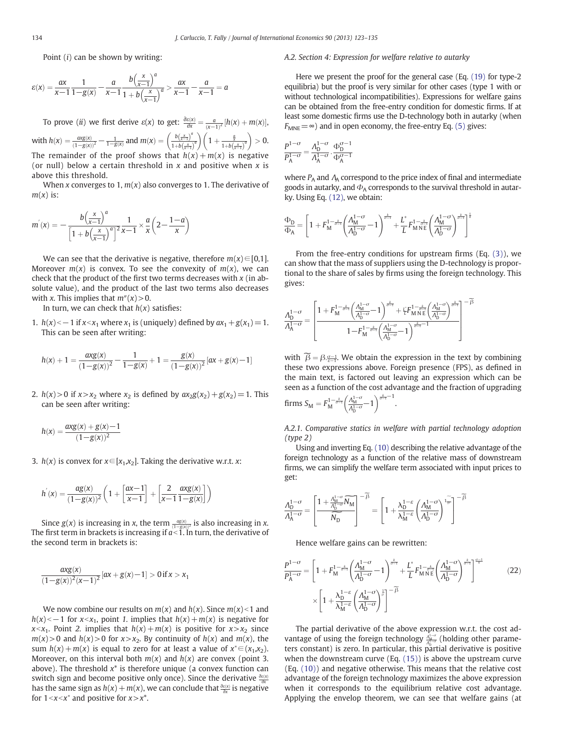<span id="page-11-0"></span>Point  $(i)$  can be shown by writing:

$$
\varepsilon(x) = \frac{ax}{x-1} \frac{1}{1-g(x)} - \frac{a}{x-1} \frac{b\left(\frac{x}{x-1}\right)^a}{1+b\left(\frac{x}{x-1}\right)^a} > \frac{ax}{x-1} - \frac{a}{x-1} = a
$$

To prove (*ii*) we first derive  $\varepsilon(x)$  to get:  $\frac{\partial \varepsilon(x)}{\partial x} = \frac{a}{(x-1)^2} [h(x) + m(x)],$ with  $h(x) = \frac{arg(x)}{(1-g(x))^2} - \frac{1}{1-g(x)}$  and  $m(x) = \left(\frac{b\left(\frac{x}{x-1}\right)^{\alpha}}{1+b\left(\frac{x}{x-1}\right)^{\alpha}}\right)$  $\left(\frac{b\left(\frac{x}{x-1}\right)^a}{1+b\left(\frac{x}{x-1}\right)^a}\right)\left(1+\frac{\frac{a}{x}}{1+b\left(\frac{x}{x-1}\right)^a}\right) > 0.$ The remainder of the proof shows that  $h(x)+m(x)$  is negative (or null) below a certain threshold in  $x$  and positive when  $x$  is above this threshold.

When x converges to 1,  $m(x)$  also converges to 1. The derivative of  $m(x)$  is:

$$
m^{'}(x)=-\frac{b\left(\frac{x}{x-1}\right)^{\alpha}}{\left[1+b\left(\frac{x}{x-1}\right)^{\alpha}\right]^{2}}\frac{1}{x-1}\times\frac{a}{x}\left(2-\frac{1-a}{x}\right)
$$

We can see that the derivative is negative, therefore  $m(x) \in [0,1]$ . Moreover  $m(x)$  is convex. To see the convexity of  $m(x)$ , we can check that the product of the first two terms decreases with  $x$  (in absolute value), and the product of the last two terms also decreases with x. This implies that  $m''(x) > 0$ .

In turn, we can check that  $h(x)$  satisfies:

1.  $h(x) < -1$  if  $x < x_1$  where  $x_1$  is (uniquely) defined by  $ax_1+g(x_1)= 1$ . This can be seen after writing:

$$
h(x) + 1 = \frac{axg(x)}{(1 - g(x))^2} - \frac{1}{1 - g(x)} + 1 = \frac{g(x)}{(1 - g(x))^2} [ax + g(x) - 1]
$$

2.  $h(x) > 0$  if  $x > x_2$  where  $x_2$  is defined by  $ax_2g(x_2) + g(x_2) = 1$ . This can be seen after writing:

$$
h(x) = \frac{axg(x) + g(x) - 1}{(1 - g(x))^2}
$$

3.  $h(x)$  is convex for  $x \in [x_1,x_2]$ . Taking the derivative w.r.t. x:

$$
h^{'}(x) = \frac{ag(x)}{(1-g(x))^2} \left(1 + \left[\frac{ax-1}{x-1}\right] + \left[\frac{2}{x-1} \frac{axg(x)}{1-g(x)}\right]\right)
$$

Since  $g(x)$  is increasing in x, the term  $\frac{ag(x)}{(1-g(x))^2}$  is also increasing in x. The first term in brackets is increasing if  $a<\overline{1}$ . In turn, the derivative of the second term in brackets is:

$$
\frac{\arg(x)}{(1-g(x))^2(x-1)^2} [ax+g(x)-1] > 0 \text{ if } x > x_1
$$

We now combine our results on  $m(x)$  and  $h(x)$ . Since  $m(x)$  and  $h(x)$ < −1 for x<x<sub>1</sub>, point 1. implies that  $h(x) + m(x)$  is negative for  $x < x_1$ . Point 2. implies that  $h(x) + m(x)$  is positive for  $x > x_2$  since  $m(x) > 0$  and  $h(x) > 0$  for  $x > x_2$ . By continuity of  $h(x)$  and  $m(x)$ , the sum  $h(x) + m(x)$  is equal to zero for at least a value of  $x^* \in (x_1, x_2)$ . Moreover, on this interval both  $m(x)$  and  $h(x)$  are convex (point 3. above). The threshold  $x^*$  is therefore unique (a convex function can switch sign and become positive only once). Since the derivative  $\frac{\partial \mathcal{E}(X)}{\partial X}$ has the same sign as  $h(x)+m(x)$ , we can conclude that  $\frac{\partial \varepsilon(x)}{\partial x}$  is negative for  $1 < x < x^*$  and positive for  $x > x^*$ .

# A.2. Section 4: Expression for welfare relative to autarky

Here we present the proof for the general case (Eq. [\(19\)](#page-8-0) for type-2 equilibria) but the proof is very similar for other cases (type 1 with or without technological incompatibilities). Expressions for welfare gains can be obtained from the free-entry condition for domestic firms. If at least some domestic firms use the D-technology both in autarky (when  $F_{MNE} = \infty$ ) and in open economy, the free-entry Eq. [\(5\)](#page-3-0) gives:

$$
\frac{P^{1-\sigma}}{P_A^{1-\sigma}} = \frac{\Lambda_D^{1-\sigma}}{\Lambda_A^{1-\sigma}} \cdot \frac{\Phi_D^{\sigma-1}}{\Phi_A^{\sigma-1}}
$$

where  $P_A$  and  $\Lambda_A$  correspond to the price index of final and intermediate goods in autarky, and  $\Phi_A$  corresponds to the survival threshold in autarky. Using Eq. [\(12\)](#page-4-0), we obtain:

$$
\frac{\Phi_{\rm D}}{\Phi_{\rm A}} = \left[1 + F_{\rm M}^{1-\frac{k}{\sigma-1}} \left(\frac{\Lambda_{\rm M}^{1-\sigma}}{\Lambda_{\rm D}^{1-\sigma}} - 1\right)^{\frac{k}{\sigma-1}} + \frac{L^*}{L} F_{\rm MNE}^{1-\frac{k}{\sigma-1}} \left(\frac{\Lambda_{\rm M}^{1-\sigma}}{\Lambda_{\rm D}^{1-\sigma}}\right)^{\frac{k}{\sigma-1}}\right]^{\frac{1}{2}}
$$

From the free-entry conditions for upstream firms (Eq. [\(3\)](#page-3-0)), we can show that the mass of suppliers using the D-technology is proportional to the share of sales by firms using the foreign technology. This gives:

$$
\frac{\Lambda_{\text{D}}^{1-\sigma}}{\Lambda_{\text{A}}^{1-\sigma}}=\left[\frac{1+F_{\text{M}}^{1-\frac{s}{\sigma-1}}\bigg(\frac{\Lambda_{\text{M}}^{1-\sigma}}{\Lambda_{\text{D}}^{1-\sigma}}-1\bigg)^{\frac{k}{\sigma-1}}+ \frac{\iota_{r}}{L}F_{\text{M}\text{N}\text{E}}^{1-\frac{s}{\sigma-1}}\bigg(\frac{\Lambda_{\text{M}}^{1-\sigma}}{\Lambda_{\text{D}}^{1-\sigma}}\bigg)^{\frac{k}{\sigma-1}}}{1-F_{\text{M}}^{1-\frac{1}{\sigma-1}}\bigg(\frac{\Lambda_{\text{M}}^{1-\sigma}}{\Lambda_{\text{D}}^{1-\sigma}}-1\bigg)^{\frac{k}{\sigma-1}-1}}\right]^{-\widetilde{\beta}}
$$

with  $\widetilde{\beta} = \beta \frac{\sigma-1}{\epsilon-1}$ . We obtain the expression in the text by combining these two expressions above. Foreign presence (FPS), as defined in the main text, is factored out leaving an expression which can be seen as a function of the cost advantage and the fraction of upgrading

.

$$
\text{ firms } S_{\text{M}} = F_{\text{M}}^{1-\frac{k}{\sigma-1}} \left( \frac{\Lambda_{\text{M}}^{1-\sigma}}{\Lambda_{\text{D}}^{1-\sigma}} - 1 \right)^{\frac{k}{\sigma-1}-1}
$$

A.2.1. Comparative statics in welfare with partial technology adoption (type 2)

Using and inverting Eq. [\(10\)](#page-4-0) describing the relative advantage of the foreign technology as a function of the relative mass of downstream firms, we can simplify the welfare term associated with input prices to get:

$$
\frac{\Lambda_D^{1-\sigma}}{\Lambda_A^{1-\sigma}} = \left[\frac{1 + \frac{\Lambda_M^{1-\sigma}}{\Lambda_D^{1-\sigma}} \widetilde{N_M}}{\widetilde{N_D}}\right]^{-\widetilde{\beta}} = \left[1 + \frac{\lambda_D^{1-\varepsilon}}{\lambda_M^{1-\varepsilon}} \left(\frac{\Lambda_M^{1-\sigma}}{\Lambda_D^{1-\sigma}}\right)^{\frac{\widetilde{\beta}}{\widetilde{\beta}}}\right]^{-\widetilde{\beta}}
$$

Hence welfare gains can be rewritten:

$$
\frac{p^{1-\sigma}}{P_A^{1-\sigma}} = \left[1 + F_M^{1-\frac{k}{\sigma-1}} \left(\frac{\Lambda_M^{1-\sigma}}{\Lambda_D^{1-\sigma}} - 1\right)^{\frac{k}{\sigma-1}} + \frac{L^*}{L} F_M^{1-\frac{k}{\sigma-1}} \left(\frac{\Lambda_M^{1-\sigma}}{\Lambda_D^{1-\sigma}}\right)^{\frac{k}{\sigma-1}}\right]^{\frac{\sigma-1}{k}} \times \left[1 + \frac{\lambda_D^{1-\varepsilon}}{\lambda_M^{1-\varepsilon}} \left(\frac{\Lambda_M^{1-\sigma}}{\Lambda_D^{1-\sigma}}\right)^{\frac{k}{\sigma}}\right] \tag{22}
$$

The partial derivative of the above expression w.r.t. the cost advantage of using the foreign technology  $\frac{A_{\rm M}^{1-\sigma}}{A_{\rm D}^{1-\sigma}}$  (holding other parameters constant) is zero. In particular, this partial derivative is positive when the downstream curve (Eq. [\(15\)](#page-4-0)) is above the upstream curve (Eq. [\(10\)](#page-4-0)) and negative otherwise. This means that the relative cost advantage of the foreign technology maximizes the above expression when it corresponds to the equilibrium relative cost advantage. Applying the envelop theorem, we can see that welfare gains (at